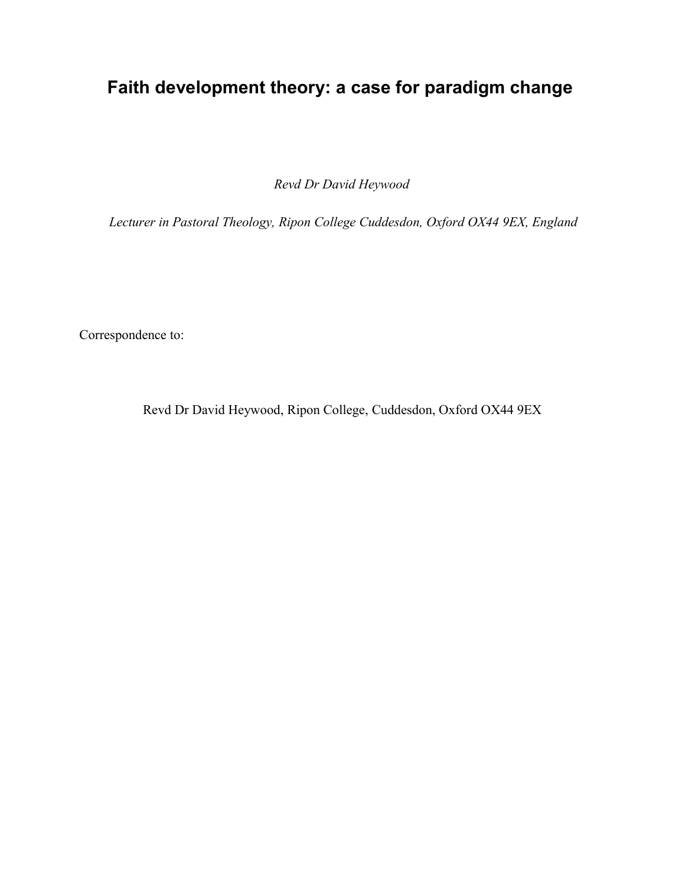# **Faith development theory: a case for paradigm change**

*Revd Dr David Heywood*

 *Lecturer in Pastoral Theology, Ripon College Cuddesdon, Oxford OX44 9EX, England*

Correspondence to:

Revd Dr David Heywood, Ripon College, Cuddesdon, Oxford OX44 9EX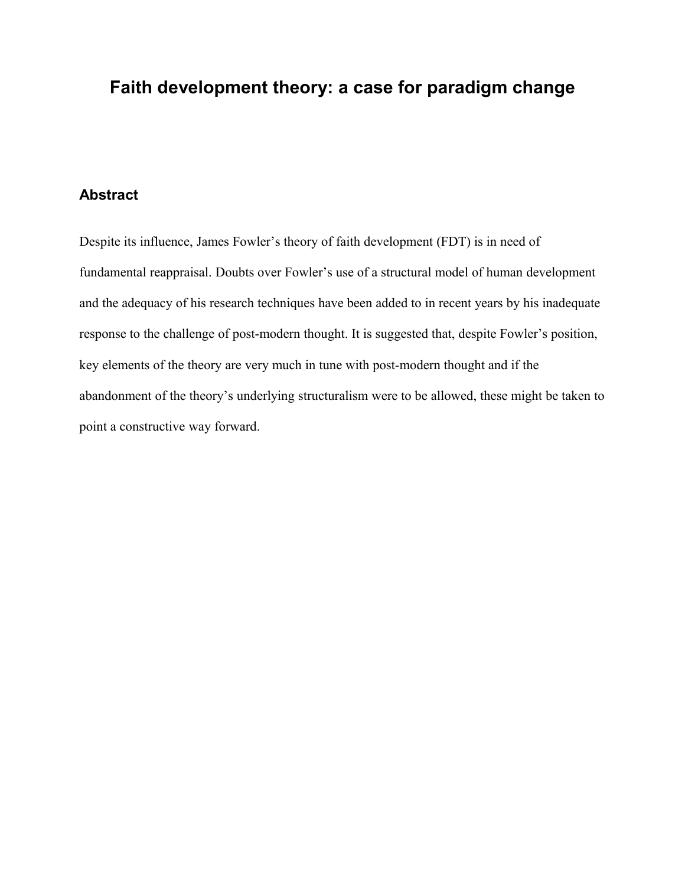## **Faith development theory: a case for paradigm change**

## **Abstract**

Despite its influence, James Fowler's theory of faith development (FDT) is in need of fundamental reappraisal. Doubts over Fowler's use of a structural model of human development and the adequacy of his research techniques have been added to in recent years by his inadequate response to the challenge of post-modern thought. It is suggested that, despite Fowler's position, key elements of the theory are very much in tune with post-modern thought and if the abandonment of the theory's underlying structuralism were to be allowed, these might be taken to point a constructive way forward.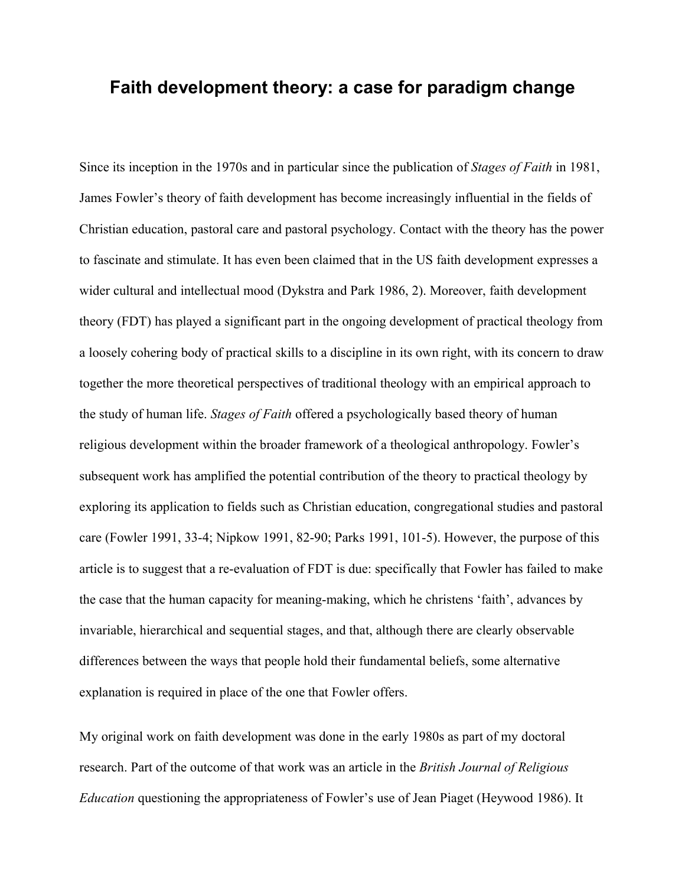## **Faith development theory: a case for paradigm change**

Since its inception in the 1970s and in particular since the publication of *Stages of Faith* in 1981, James Fowler's theory of faith development has become increasingly influential in the fields of Christian education, pastoral care and pastoral psychology. Contact with the theory has the power to fascinate and stimulate. It has even been claimed that in the US faith development expresses a wider cultural and intellectual mood (Dykstra and Park 1986, 2). Moreover, faith development theory (FDT) has played a significant part in the ongoing development of practical theology from a loosely cohering body of practical skills to a discipline in its own right, with its concern to draw together the more theoretical perspectives of traditional theology with an empirical approach to the study of human life. *Stages of Faith* offered a psychologically based theory of human religious development within the broader framework of a theological anthropology. Fowler's subsequent work has amplified the potential contribution of the theory to practical theology by exploring its application to fields such as Christian education, congregational studies and pastoral care (Fowler 1991, 33-4; Nipkow 1991, 82-90; Parks 1991, 101-5). However, the purpose of this article is to suggest that a re-evaluation of FDT is due: specifically that Fowler has failed to make the case that the human capacity for meaning-making, which he christens 'faith', advances by invariable, hierarchical and sequential stages, and that, although there are clearly observable differences between the ways that people hold their fundamental beliefs, some alternative explanation is required in place of the one that Fowler offers.

My original work on faith development was done in the early 1980s as part of my doctoral research. Part of the outcome of that work was an article in the *British Journal of Religious Education* questioning the appropriateness of Fowler's use of Jean Piaget (Heywood 1986). It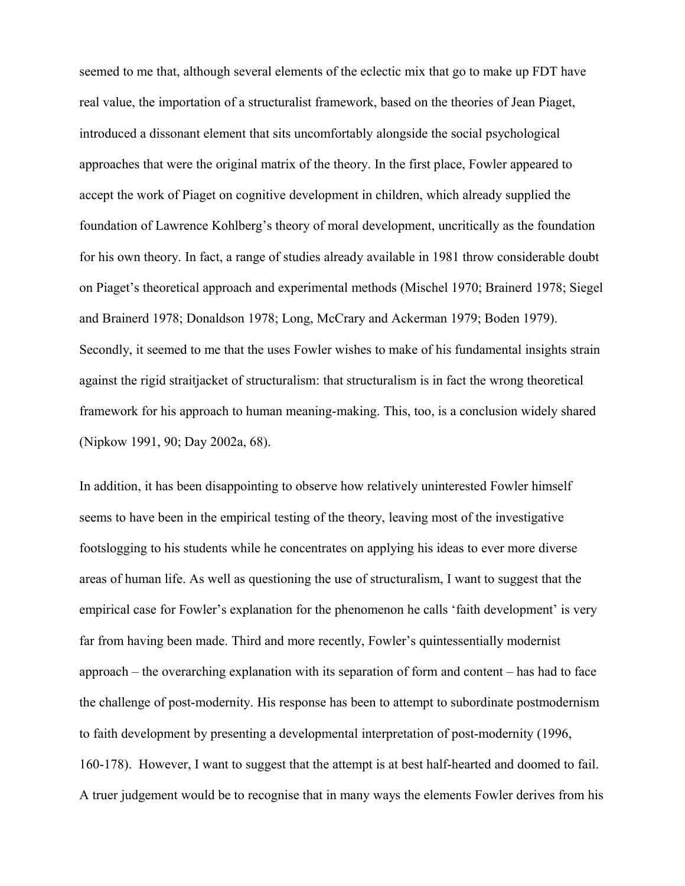seemed to me that, although several elements of the eclectic mix that go to make up FDT have real value, the importation of a structuralist framework, based on the theories of Jean Piaget, introduced a dissonant element that sits uncomfortably alongside the social psychological approaches that were the original matrix of the theory. In the first place, Fowler appeared to accept the work of Piaget on cognitive development in children, which already supplied the foundation of Lawrence Kohlberg's theory of moral development, uncritically as the foundation for his own theory. In fact, a range of studies already available in 1981 throw considerable doubt on Piaget's theoretical approach and experimental methods (Mischel 1970; Brainerd 1978; Siegel and Brainerd 1978; Donaldson 1978; Long, McCrary and Ackerman 1979; Boden 1979). Secondly, it seemed to me that the uses Fowler wishes to make of his fundamental insights strain against the rigid straitjacket of structuralism: that structuralism is in fact the wrong theoretical framework for his approach to human meaning-making. This, too, is a conclusion widely shared (Nipkow 1991, 90; Day 2002a, 68).

In addition, it has been disappointing to observe how relatively uninterested Fowler himself seems to have been in the empirical testing of the theory, leaving most of the investigative footslogging to his students while he concentrates on applying his ideas to ever more diverse areas of human life. As well as questioning the use of structuralism, I want to suggest that the empirical case for Fowler's explanation for the phenomenon he calls 'faith development' is very far from having been made. Third and more recently, Fowler's quintessentially modernist approach – the overarching explanation with its separation of form and content – has had to face the challenge of post-modernity. His response has been to attempt to subordinate postmodernism to faith development by presenting a developmental interpretation of post-modernity (1996, 160-178). However, I want to suggest that the attempt is at best half-hearted and doomed to fail. A truer judgement would be to recognise that in many ways the elements Fowler derives from his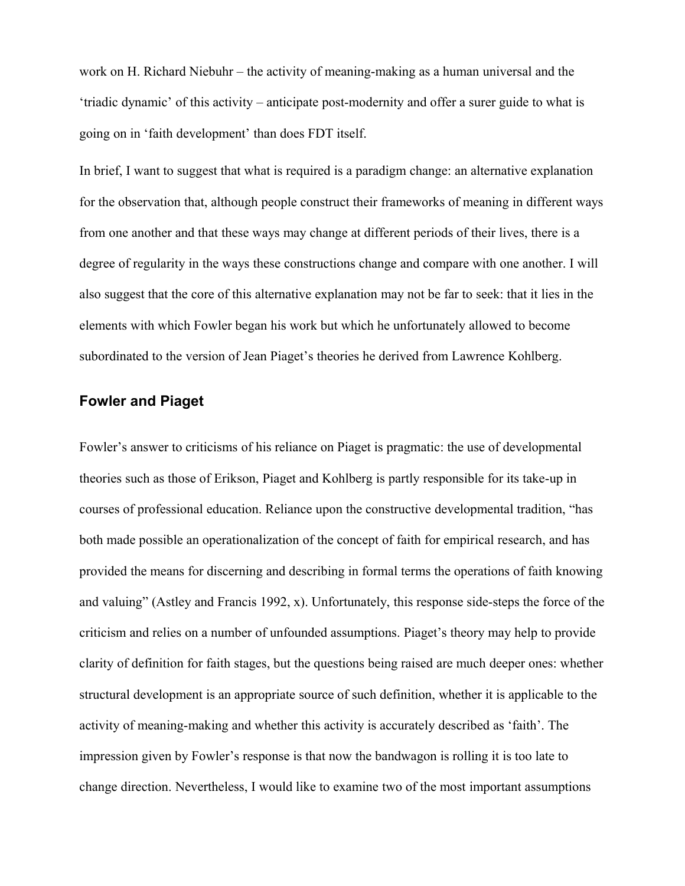work on H. Richard Niebuhr – the activity of meaning-making as a human universal and the 'triadic dynamic' of this activity – anticipate post-modernity and offer a surer guide to what is going on in 'faith development' than does FDT itself.

In brief, I want to suggest that what is required is a paradigm change: an alternative explanation for the observation that, although people construct their frameworks of meaning in different ways from one another and that these ways may change at different periods of their lives, there is a degree of regularity in the ways these constructions change and compare with one another. I will also suggest that the core of this alternative explanation may not be far to seek: that it lies in the elements with which Fowler began his work but which he unfortunately allowed to become subordinated to the version of Jean Piaget's theories he derived from Lawrence Kohlberg.

## **Fowler and Piaget**

Fowler's answer to criticisms of his reliance on Piaget is pragmatic: the use of developmental theories such as those of Erikson, Piaget and Kohlberg is partly responsible for its take-up in courses of professional education. Reliance upon the constructive developmental tradition, "has both made possible an operationalization of the concept of faith for empirical research, and has provided the means for discerning and describing in formal terms the operations of faith knowing and valuing" (Astley and Francis 1992, x). Unfortunately, this response side-steps the force of the criticism and relies on a number of unfounded assumptions. Piaget's theory may help to provide clarity of definition for faith stages, but the questions being raised are much deeper ones: whether structural development is an appropriate source of such definition, whether it is applicable to the activity of meaning-making and whether this activity is accurately described as 'faith'. The impression given by Fowler's response is that now the bandwagon is rolling it is too late to change direction. Nevertheless, I would like to examine two of the most important assumptions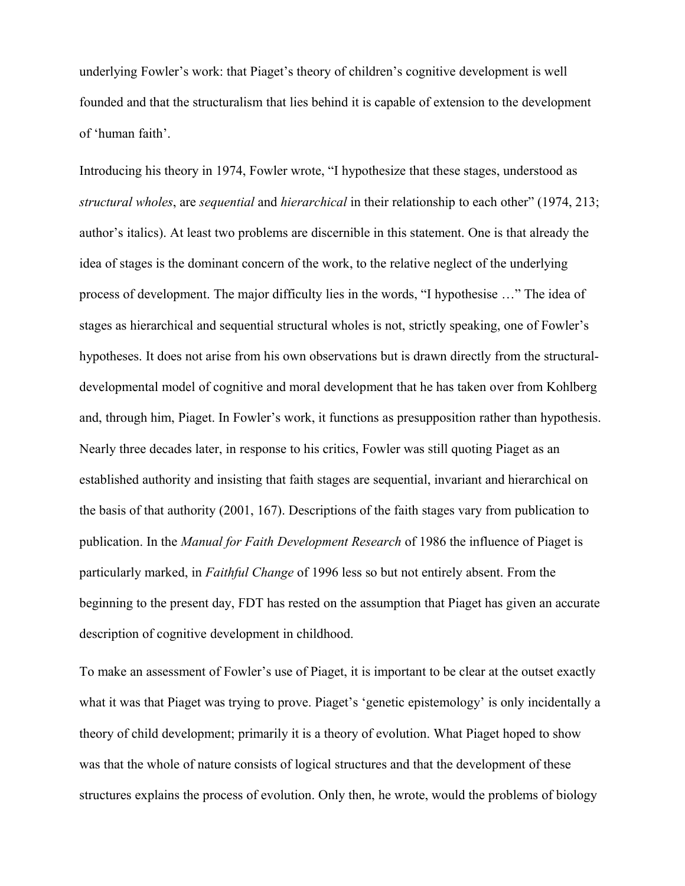underlying Fowler's work: that Piaget's theory of children's cognitive development is well founded and that the structuralism that lies behind it is capable of extension to the development of 'human faith'.

Introducing his theory in 1974, Fowler wrote, "I hypothesize that these stages, understood as *structural wholes*, are *sequential* and *hierarchical* in their relationship to each other" (1974, 213; author's italics). At least two problems are discernible in this statement. One is that already the idea of stages is the dominant concern of the work, to the relative neglect of the underlying process of development. The major difficulty lies in the words, "I hypothesise …" The idea of stages as hierarchical and sequential structural wholes is not, strictly speaking, one of Fowler's hypotheses. It does not arise from his own observations but is drawn directly from the structuraldevelopmental model of cognitive and moral development that he has taken over from Kohlberg and, through him, Piaget. In Fowler's work, it functions as presupposition rather than hypothesis. Nearly three decades later, in response to his critics, Fowler was still quoting Piaget as an established authority and insisting that faith stages are sequential, invariant and hierarchical on the basis of that authority (2001, 167). Descriptions of the faith stages vary from publication to publication. In the *Manual for Faith Development Research* of 1986 the influence of Piaget is particularly marked, in *Faithful Change* of 1996 less so but not entirely absent. From the beginning to the present day, FDT has rested on the assumption that Piaget has given an accurate description of cognitive development in childhood.

To make an assessment of Fowler's use of Piaget, it is important to be clear at the outset exactly what it was that Piaget was trying to prove. Piaget's 'genetic epistemology' is only incidentally a theory of child development; primarily it is a theory of evolution. What Piaget hoped to show was that the whole of nature consists of logical structures and that the development of these structures explains the process of evolution. Only then, he wrote, would the problems of biology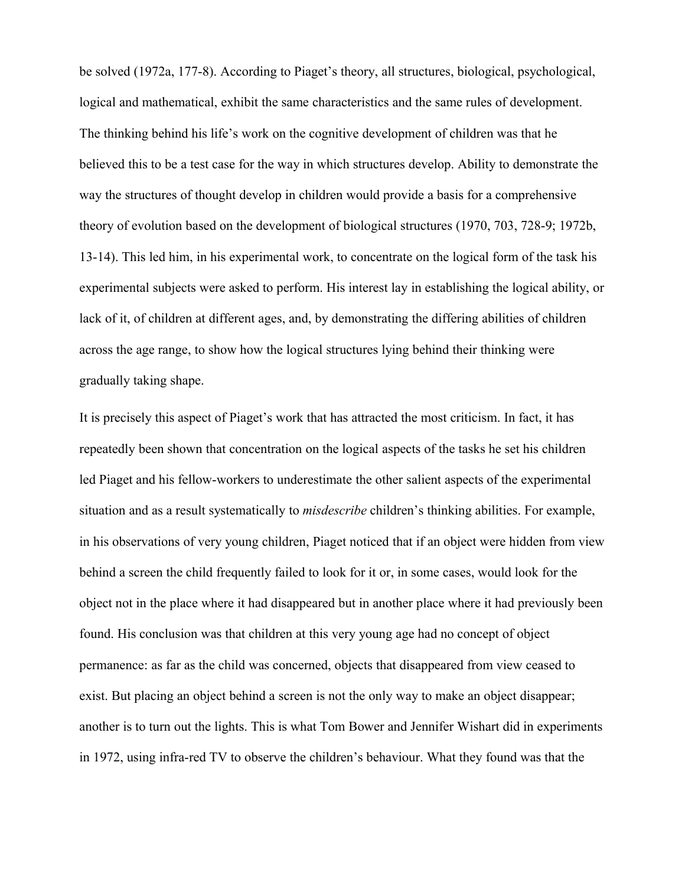be solved (1972a, 177-8). According to Piaget's theory, all structures, biological, psychological, logical and mathematical, exhibit the same characteristics and the same rules of development. The thinking behind his life's work on the cognitive development of children was that he believed this to be a test case for the way in which structures develop. Ability to demonstrate the way the structures of thought develop in children would provide a basis for a comprehensive theory of evolution based on the development of biological structures (1970, 703, 728-9; 1972b, 13-14). This led him, in his experimental work, to concentrate on the logical form of the task his experimental subjects were asked to perform. His interest lay in establishing the logical ability, or lack of it, of children at different ages, and, by demonstrating the differing abilities of children across the age range, to show how the logical structures lying behind their thinking were gradually taking shape.

It is precisely this aspect of Piaget's work that has attracted the most criticism. In fact, it has repeatedly been shown that concentration on the logical aspects of the tasks he set his children led Piaget and his fellow-workers to underestimate the other salient aspects of the experimental situation and as a result systematically to *misdescribe* children's thinking abilities. For example, in his observations of very young children, Piaget noticed that if an object were hidden from view behind a screen the child frequently failed to look for it or, in some cases, would look for the object not in the place where it had disappeared but in another place where it had previously been found. His conclusion was that children at this very young age had no concept of object permanence: as far as the child was concerned, objects that disappeared from view ceased to exist. But placing an object behind a screen is not the only way to make an object disappear; another is to turn out the lights. This is what Tom Bower and Jennifer Wishart did in experiments in 1972, using infra-red TV to observe the children's behaviour. What they found was that the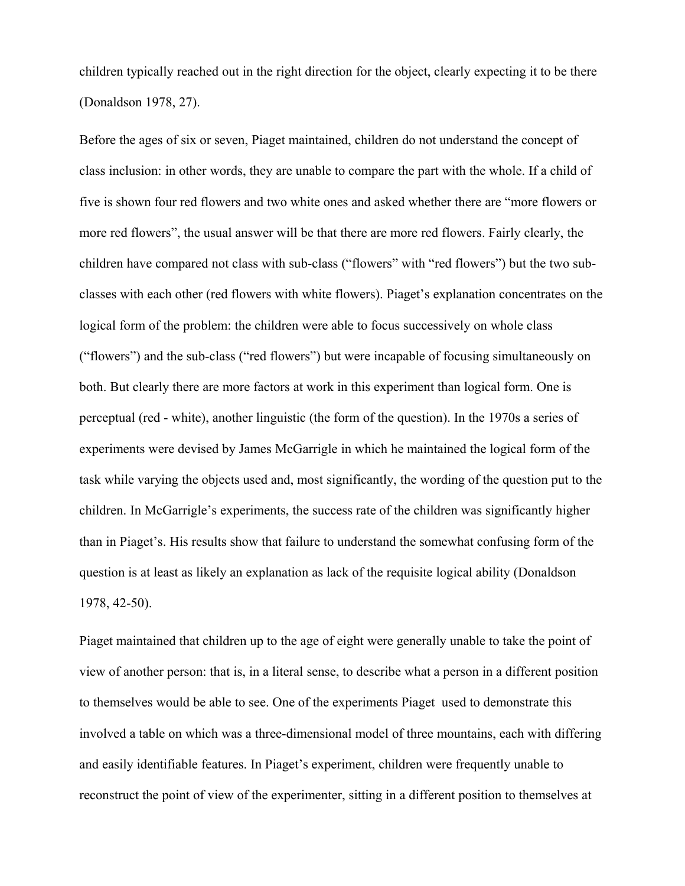children typically reached out in the right direction for the object, clearly expecting it to be there (Donaldson 1978, 27).

Before the ages of six or seven, Piaget maintained, children do not understand the concept of class inclusion: in other words, they are unable to compare the part with the whole. If a child of five is shown four red flowers and two white ones and asked whether there are "more flowers or more red flowers", the usual answer will be that there are more red flowers. Fairly clearly, the children have compared not class with sub-class ("flowers" with "red flowers") but the two subclasses with each other (red flowers with white flowers). Piaget's explanation concentrates on the logical form of the problem: the children were able to focus successively on whole class ("flowers") and the sub-class ("red flowers") but were incapable of focusing simultaneously on both. But clearly there are more factors at work in this experiment than logical form. One is perceptual (red - white), another linguistic (the form of the question). In the 1970s a series of experiments were devised by James McGarrigle in which he maintained the logical form of the task while varying the objects used and, most significantly, the wording of the question put to the children. In McGarrigle's experiments, the success rate of the children was significantly higher than in Piaget's. His results show that failure to understand the somewhat confusing form of the question is at least as likely an explanation as lack of the requisite logical ability (Donaldson 1978, 42-50).

Piaget maintained that children up to the age of eight were generally unable to take the point of view of another person: that is, in a literal sense, to describe what a person in a different position to themselves would be able to see. One of the experiments Piaget used to demonstrate this involved a table on which was a three-dimensional model of three mountains, each with differing and easily identifiable features. In Piaget's experiment, children were frequently unable to reconstruct the point of view of the experimenter, sitting in a different position to themselves at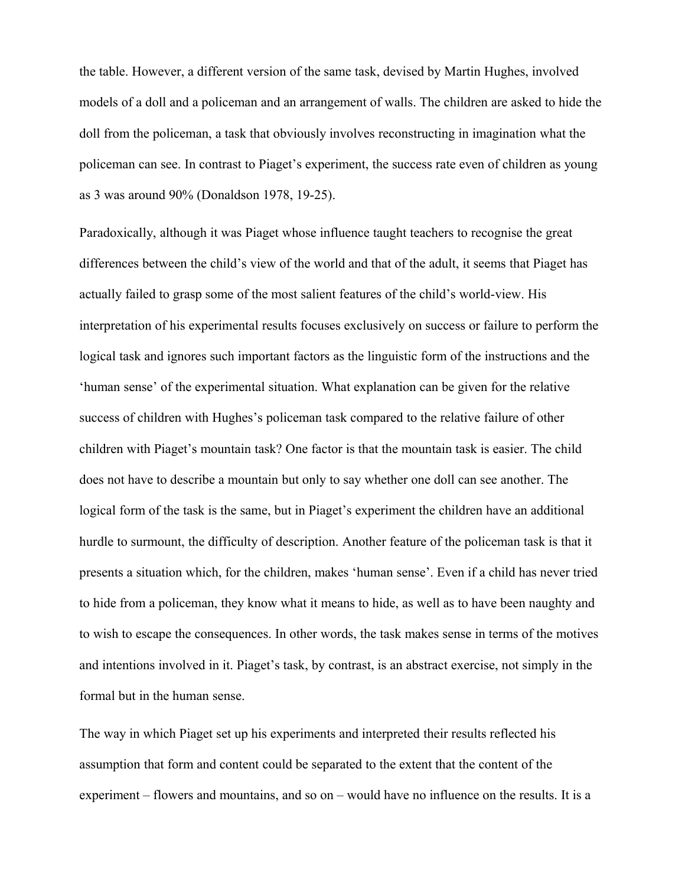the table. However, a different version of the same task, devised by Martin Hughes, involved models of a doll and a policeman and an arrangement of walls. The children are asked to hide the doll from the policeman, a task that obviously involves reconstructing in imagination what the policeman can see. In contrast to Piaget's experiment, the success rate even of children as young as 3 was around 90% (Donaldson 1978, 19-25).

Paradoxically, although it was Piaget whose influence taught teachers to recognise the great differences between the child's view of the world and that of the adult, it seems that Piaget has actually failed to grasp some of the most salient features of the child's world-view. His interpretation of his experimental results focuses exclusively on success or failure to perform the logical task and ignores such important factors as the linguistic form of the instructions and the 'human sense' of the experimental situation. What explanation can be given for the relative success of children with Hughes's policeman task compared to the relative failure of other children with Piaget's mountain task? One factor is that the mountain task is easier. The child does not have to describe a mountain but only to say whether one doll can see another. The logical form of the task is the same, but in Piaget's experiment the children have an additional hurdle to surmount, the difficulty of description. Another feature of the policeman task is that it presents a situation which, for the children, makes 'human sense'. Even if a child has never tried to hide from a policeman, they know what it means to hide, as well as to have been naughty and to wish to escape the consequences. In other words, the task makes sense in terms of the motives and intentions involved in it. Piaget's task, by contrast, is an abstract exercise, not simply in the formal but in the human sense.

The way in which Piaget set up his experiments and interpreted their results reflected his assumption that form and content could be separated to the extent that the content of the experiment – flowers and mountains, and so on – would have no influence on the results. It is a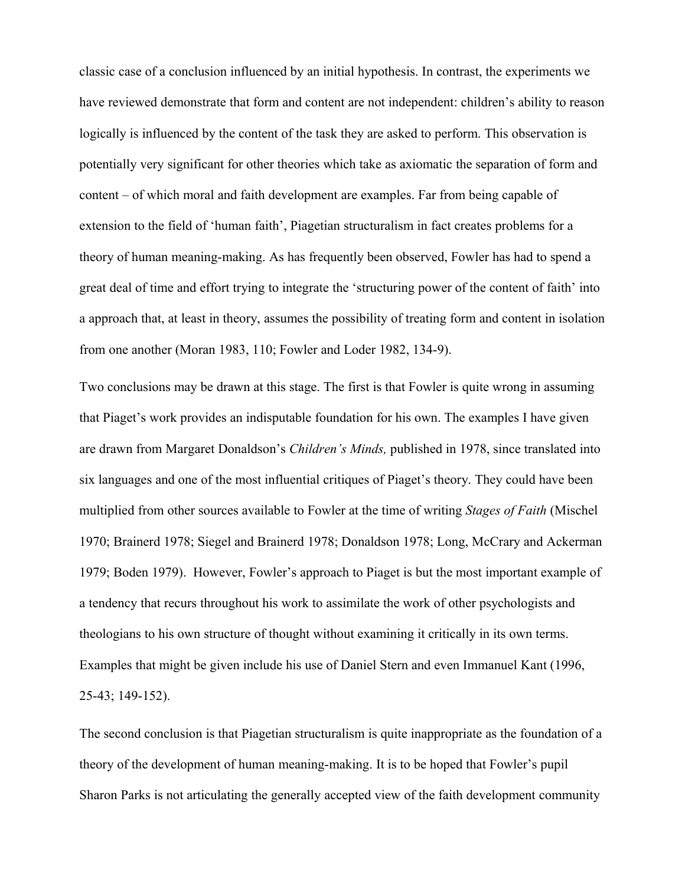classic case of a conclusion influenced by an initial hypothesis. In contrast, the experiments we have reviewed demonstrate that form and content are not independent: children's ability to reason logically is influenced by the content of the task they are asked to perform. This observation is potentially very significant for other theories which take as axiomatic the separation of form and content – of which moral and faith development are examples. Far from being capable of extension to the field of 'human faith', Piagetian structuralism in fact creates problems for a theory of human meaning-making. As has frequently been observed, Fowler has had to spend a great deal of time and effort trying to integrate the 'structuring power of the content of faith' into a approach that, at least in theory, assumes the possibility of treating form and content in isolation from one another (Moran 1983, 110; Fowler and Loder 1982, 134-9).

Two conclusions may be drawn at this stage. The first is that Fowler is quite wrong in assuming that Piaget's work provides an indisputable foundation for his own. The examples I have given are drawn from Margaret Donaldson's *Children's Minds,* published in 1978, since translated into six languages and one of the most influential critiques of Piaget's theory. They could have been multiplied from other sources available to Fowler at the time of writing *Stages of Faith* (Mischel 1970; Brainerd 1978; Siegel and Brainerd 1978; Donaldson 1978; Long, McCrary and Ackerman 1979; Boden 1979). However, Fowler's approach to Piaget is but the most important example of a tendency that recurs throughout his work to assimilate the work of other psychologists and theologians to his own structure of thought without examining it critically in its own terms. Examples that might be given include his use of Daniel Stern and even Immanuel Kant (1996, 25-43; 149-152).

The second conclusion is that Piagetian structuralism is quite inappropriate as the foundation of a theory of the development of human meaning-making. It is to be hoped that Fowler's pupil Sharon Parks is not articulating the generally accepted view of the faith development community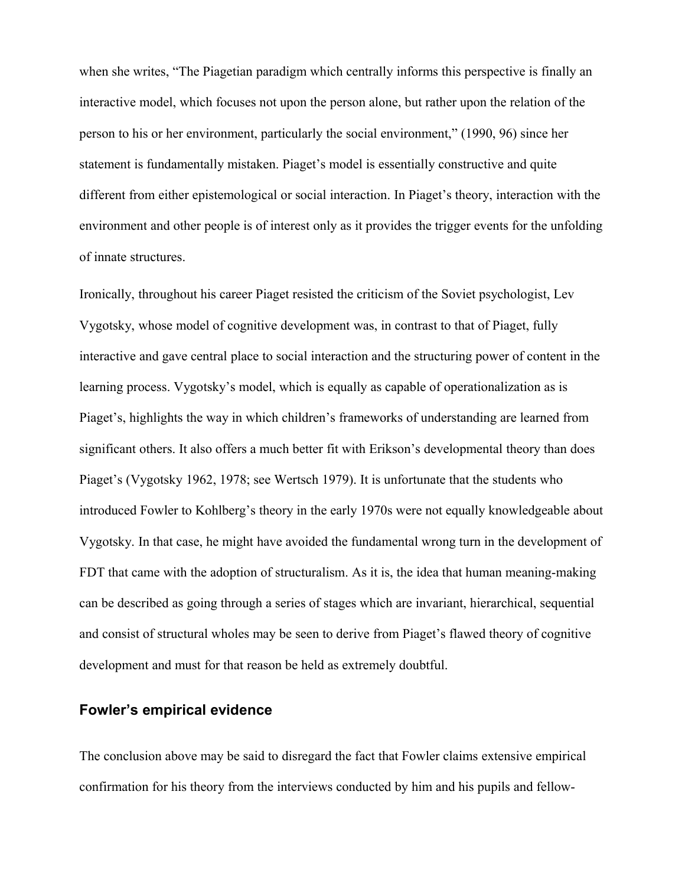when she writes, "The Piagetian paradigm which centrally informs this perspective is finally an interactive model, which focuses not upon the person alone, but rather upon the relation of the person to his or her environment, particularly the social environment," (1990, 96) since her statement is fundamentally mistaken. Piaget's model is essentially constructive and quite different from either epistemological or social interaction. In Piaget's theory, interaction with the environment and other people is of interest only as it provides the trigger events for the unfolding of innate structures.

Ironically, throughout his career Piaget resisted the criticism of the Soviet psychologist, Lev Vygotsky, whose model of cognitive development was, in contrast to that of Piaget, fully interactive and gave central place to social interaction and the structuring power of content in the learning process. Vygotsky's model, which is equally as capable of operationalization as is Piaget's, highlights the way in which children's frameworks of understanding are learned from significant others. It also offers a much better fit with Erikson's developmental theory than does Piaget's (Vygotsky 1962, 1978; see Wertsch 1979). It is unfortunate that the students who introduced Fowler to Kohlberg's theory in the early 1970s were not equally knowledgeable about Vygotsky. In that case, he might have avoided the fundamental wrong turn in the development of FDT that came with the adoption of structuralism. As it is, the idea that human meaning-making can be described as going through a series of stages which are invariant, hierarchical, sequential and consist of structural wholes may be seen to derive from Piaget's flawed theory of cognitive development and must for that reason be held as extremely doubtful.

#### **Fowler's empirical evidence**

The conclusion above may be said to disregard the fact that Fowler claims extensive empirical confirmation for his theory from the interviews conducted by him and his pupils and fellow-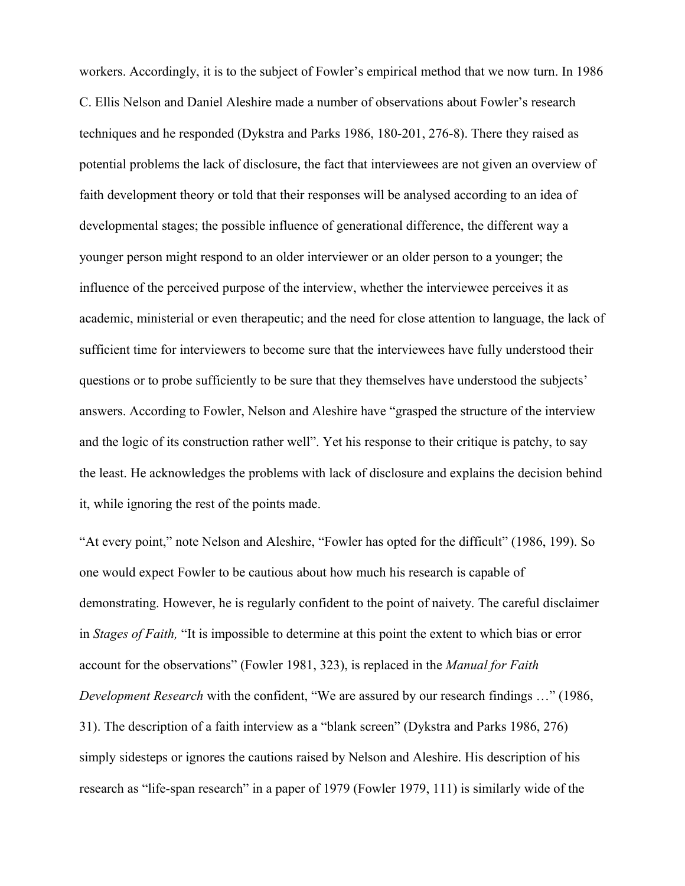workers. Accordingly, it is to the subject of Fowler's empirical method that we now turn. In 1986 C. Ellis Nelson and Daniel Aleshire made a number of observations about Fowler's research techniques and he responded (Dykstra and Parks 1986, 180-201, 276-8). There they raised as potential problems the lack of disclosure, the fact that interviewees are not given an overview of faith development theory or told that their responses will be analysed according to an idea of developmental stages; the possible influence of generational difference, the different way a younger person might respond to an older interviewer or an older person to a younger; the influence of the perceived purpose of the interview, whether the interviewee perceives it as academic, ministerial or even therapeutic; and the need for close attention to language, the lack of sufficient time for interviewers to become sure that the interviewees have fully understood their questions or to probe sufficiently to be sure that they themselves have understood the subjects' answers. According to Fowler, Nelson and Aleshire have "grasped the structure of the interview and the logic of its construction rather well". Yet his response to their critique is patchy, to say the least. He acknowledges the problems with lack of disclosure and explains the decision behind it, while ignoring the rest of the points made.

"At every point," note Nelson and Aleshire, "Fowler has opted for the difficult" (1986, 199). So one would expect Fowler to be cautious about how much his research is capable of demonstrating. However, he is regularly confident to the point of naivety. The careful disclaimer in *Stages of Faith,* "It is impossible to determine at this point the extent to which bias or error account for the observations" (Fowler 1981, 323), is replaced in the *Manual for Faith Development Research* with the confident, "We are assured by our research findings ..." (1986, 31). The description of a faith interview as a "blank screen" (Dykstra and Parks 1986, 276) simply sidesteps or ignores the cautions raised by Nelson and Aleshire. His description of his research as "life-span research" in a paper of 1979 (Fowler 1979, 111) is similarly wide of the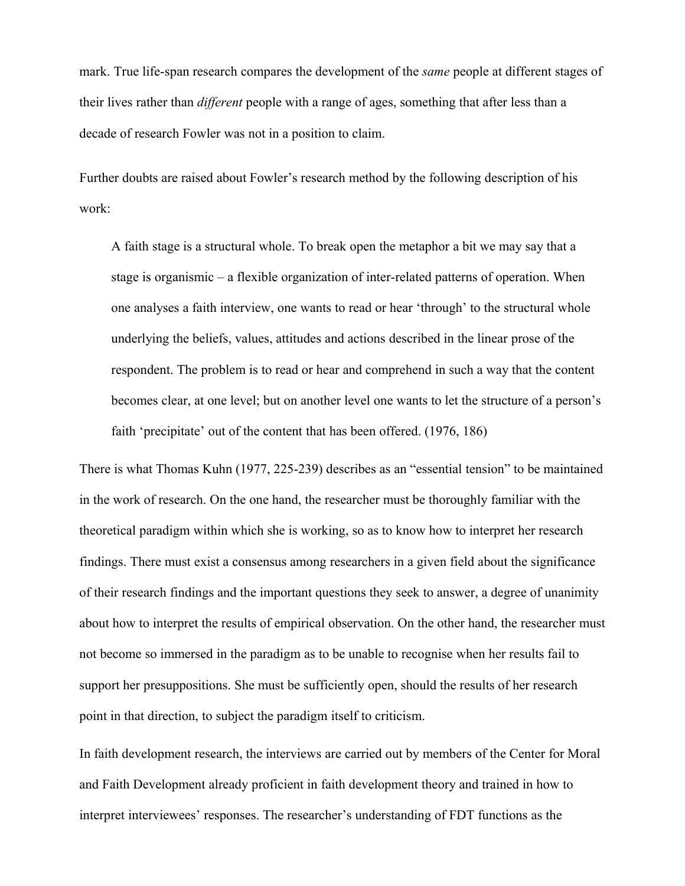mark. True life-span research compares the development of the *same* people at different stages of their lives rather than *different* people with a range of ages, something that after less than a decade of research Fowler was not in a position to claim.

Further doubts are raised about Fowler's research method by the following description of his work:

A faith stage is a structural whole. To break open the metaphor a bit we may say that a stage is organismic – a flexible organization of inter-related patterns of operation. When one analyses a faith interview, one wants to read or hear 'through' to the structural whole underlying the beliefs, values, attitudes and actions described in the linear prose of the respondent. The problem is to read or hear and comprehend in such a way that the content becomes clear, at one level; but on another level one wants to let the structure of a person's faith 'precipitate' out of the content that has been offered. (1976, 186)

There is what Thomas Kuhn (1977, 225-239) describes as an "essential tension" to be maintained in the work of research. On the one hand, the researcher must be thoroughly familiar with the theoretical paradigm within which she is working, so as to know how to interpret her research findings. There must exist a consensus among researchers in a given field about the significance of their research findings and the important questions they seek to answer, a degree of unanimity about how to interpret the results of empirical observation. On the other hand, the researcher must not become so immersed in the paradigm as to be unable to recognise when her results fail to support her presuppositions. She must be sufficiently open, should the results of her research point in that direction, to subject the paradigm itself to criticism.

In faith development research, the interviews are carried out by members of the Center for Moral and Faith Development already proficient in faith development theory and trained in how to interpret interviewees' responses. The researcher's understanding of FDT functions as the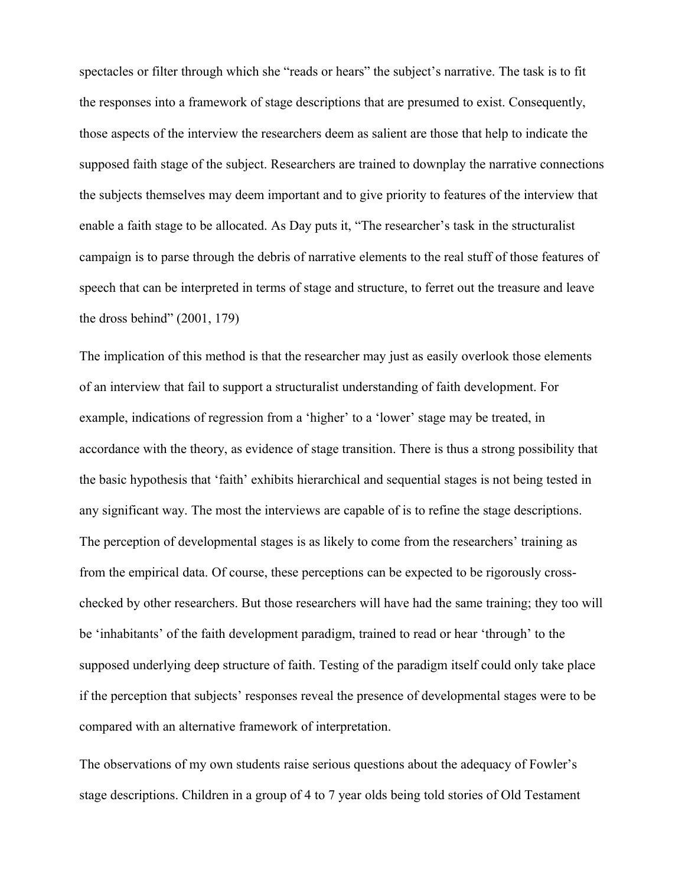spectacles or filter through which she "reads or hears" the subject's narrative. The task is to fit the responses into a framework of stage descriptions that are presumed to exist. Consequently, those aspects of the interview the researchers deem as salient are those that help to indicate the supposed faith stage of the subject. Researchers are trained to downplay the narrative connections the subjects themselves may deem important and to give priority to features of the interview that enable a faith stage to be allocated. As Day puts it, "The researcher's task in the structuralist campaign is to parse through the debris of narrative elements to the real stuff of those features of speech that can be interpreted in terms of stage and structure, to ferret out the treasure and leave the dross behind" (2001, 179)

The implication of this method is that the researcher may just as easily overlook those elements of an interview that fail to support a structuralist understanding of faith development. For example, indications of regression from a 'higher' to a 'lower' stage may be treated, in accordance with the theory, as evidence of stage transition. There is thus a strong possibility that the basic hypothesis that 'faith' exhibits hierarchical and sequential stages is not being tested in any significant way. The most the interviews are capable of is to refine the stage descriptions. The perception of developmental stages is as likely to come from the researchers' training as from the empirical data. Of course, these perceptions can be expected to be rigorously crosschecked by other researchers. But those researchers will have had the same training; they too will be 'inhabitants' of the faith development paradigm, trained to read or hear 'through' to the supposed underlying deep structure of faith. Testing of the paradigm itself could only take place if the perception that subjects' responses reveal the presence of developmental stages were to be compared with an alternative framework of interpretation.

The observations of my own students raise serious questions about the adequacy of Fowler's stage descriptions. Children in a group of 4 to 7 year olds being told stories of Old Testament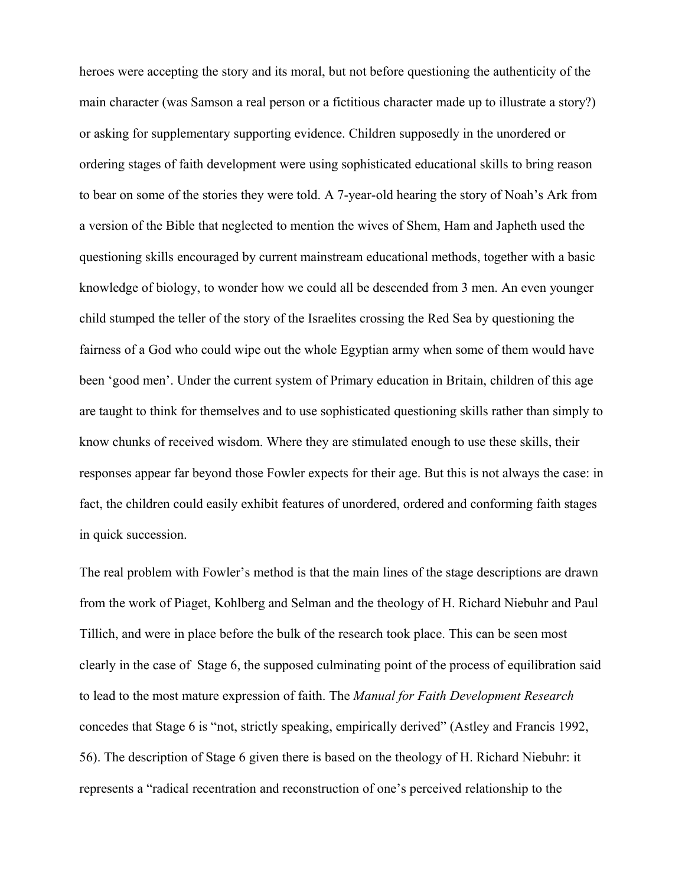heroes were accepting the story and its moral, but not before questioning the authenticity of the main character (was Samson a real person or a fictitious character made up to illustrate a story?) or asking for supplementary supporting evidence. Children supposedly in the unordered or ordering stages of faith development were using sophisticated educational skills to bring reason to bear on some of the stories they were told. A 7-year-old hearing the story of Noah's Ark from a version of the Bible that neglected to mention the wives of Shem, Ham and Japheth used the questioning skills encouraged by current mainstream educational methods, together with a basic knowledge of biology, to wonder how we could all be descended from 3 men. An even younger child stumped the teller of the story of the Israelites crossing the Red Sea by questioning the fairness of a God who could wipe out the whole Egyptian army when some of them would have been 'good men'. Under the current system of Primary education in Britain, children of this age are taught to think for themselves and to use sophisticated questioning skills rather than simply to know chunks of received wisdom. Where they are stimulated enough to use these skills, their responses appear far beyond those Fowler expects for their age. But this is not always the case: in fact, the children could easily exhibit features of unordered, ordered and conforming faith stages in quick succession.

The real problem with Fowler's method is that the main lines of the stage descriptions are drawn from the work of Piaget, Kohlberg and Selman and the theology of H. Richard Niebuhr and Paul Tillich, and were in place before the bulk of the research took place. This can be seen most clearly in the case of Stage 6, the supposed culminating point of the process of equilibration said to lead to the most mature expression of faith. The *Manual for Faith Development Research* concedes that Stage 6 is "not, strictly speaking, empirically derived" (Astley and Francis 1992, 56). The description of Stage 6 given there is based on the theology of H. Richard Niebuhr: it represents a "radical recentration and reconstruction of one's perceived relationship to the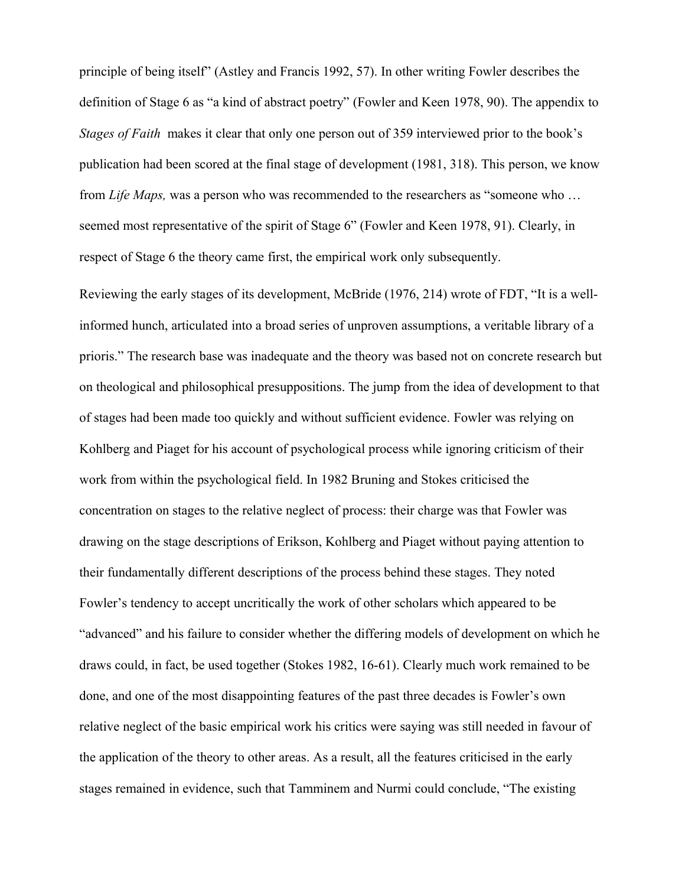principle of being itself" (Astley and Francis 1992, 57). In other writing Fowler describes the definition of Stage 6 as "a kind of abstract poetry" (Fowler and Keen 1978, 90). The appendix to *Stages of Faith* makes it clear that only one person out of 359 interviewed prior to the book's publication had been scored at the final stage of development (1981, 318). This person, we know from *Life Maps,* was a person who was recommended to the researchers as "someone who … seemed most representative of the spirit of Stage 6" (Fowler and Keen 1978, 91). Clearly, in respect of Stage 6 the theory came first, the empirical work only subsequently.

Reviewing the early stages of its development, McBride (1976, 214) wrote of FDT, "It is a wellinformed hunch, articulated into a broad series of unproven assumptions, a veritable library of a prioris." The research base was inadequate and the theory was based not on concrete research but on theological and philosophical presuppositions. The jump from the idea of development to that of stages had been made too quickly and without sufficient evidence. Fowler was relying on Kohlberg and Piaget for his account of psychological process while ignoring criticism of their work from within the psychological field. In 1982 Bruning and Stokes criticised the concentration on stages to the relative neglect of process: their charge was that Fowler was drawing on the stage descriptions of Erikson, Kohlberg and Piaget without paying attention to their fundamentally different descriptions of the process behind these stages. They noted Fowler's tendency to accept uncritically the work of other scholars which appeared to be "advanced" and his failure to consider whether the differing models of development on which he draws could, in fact, be used together (Stokes 1982, 16-61). Clearly much work remained to be done, and one of the most disappointing features of the past three decades is Fowler's own relative neglect of the basic empirical work his critics were saying was still needed in favour of the application of the theory to other areas. As a result, all the features criticised in the early stages remained in evidence, such that Tamminem and Nurmi could conclude, "The existing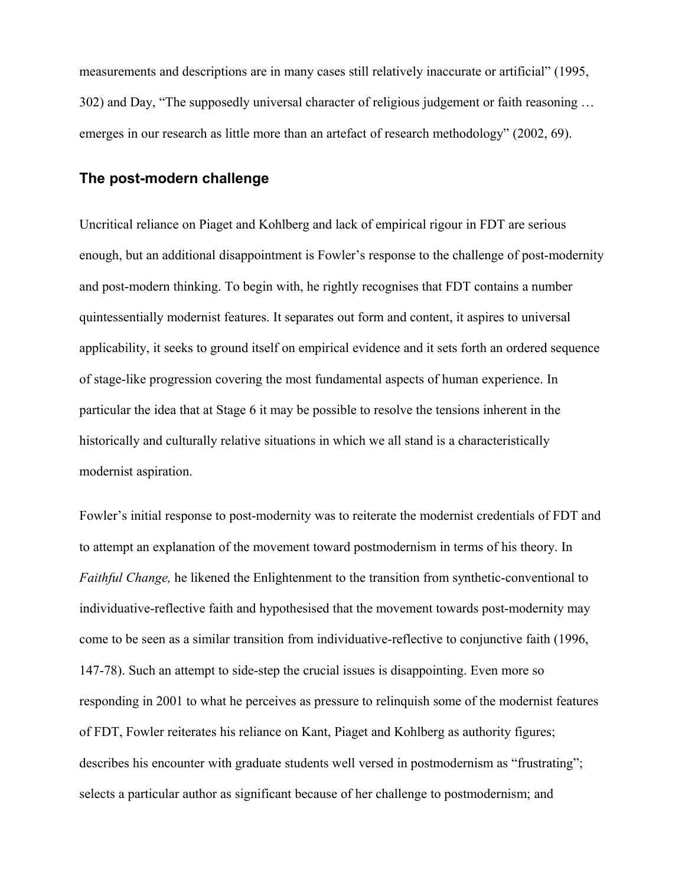measurements and descriptions are in many cases still relatively inaccurate or artificial" (1995, 302) and Day, "The supposedly universal character of religious judgement or faith reasoning … emerges in our research as little more than an artefact of research methodology" (2002, 69).

#### **The post-modern challenge**

Uncritical reliance on Piaget and Kohlberg and lack of empirical rigour in FDT are serious enough, but an additional disappointment is Fowler's response to the challenge of post-modernity and post-modern thinking. To begin with, he rightly recognises that FDT contains a number quintessentially modernist features. It separates out form and content, it aspires to universal applicability, it seeks to ground itself on empirical evidence and it sets forth an ordered sequence of stage-like progression covering the most fundamental aspects of human experience. In particular the idea that at Stage 6 it may be possible to resolve the tensions inherent in the historically and culturally relative situations in which we all stand is a characteristically modernist aspiration.

Fowler's initial response to post-modernity was to reiterate the modernist credentials of FDT and to attempt an explanation of the movement toward postmodernism in terms of his theory. In *Faithful Change,* he likened the Enlightenment to the transition from synthetic-conventional to individuative-reflective faith and hypothesised that the movement towards post-modernity may come to be seen as a similar transition from individuative-reflective to conjunctive faith (1996, 147-78). Such an attempt to side-step the crucial issues is disappointing. Even more so responding in 2001 to what he perceives as pressure to relinquish some of the modernist features of FDT, Fowler reiterates his reliance on Kant, Piaget and Kohlberg as authority figures; describes his encounter with graduate students well versed in postmodernism as "frustrating"; selects a particular author as significant because of her challenge to postmodernism; and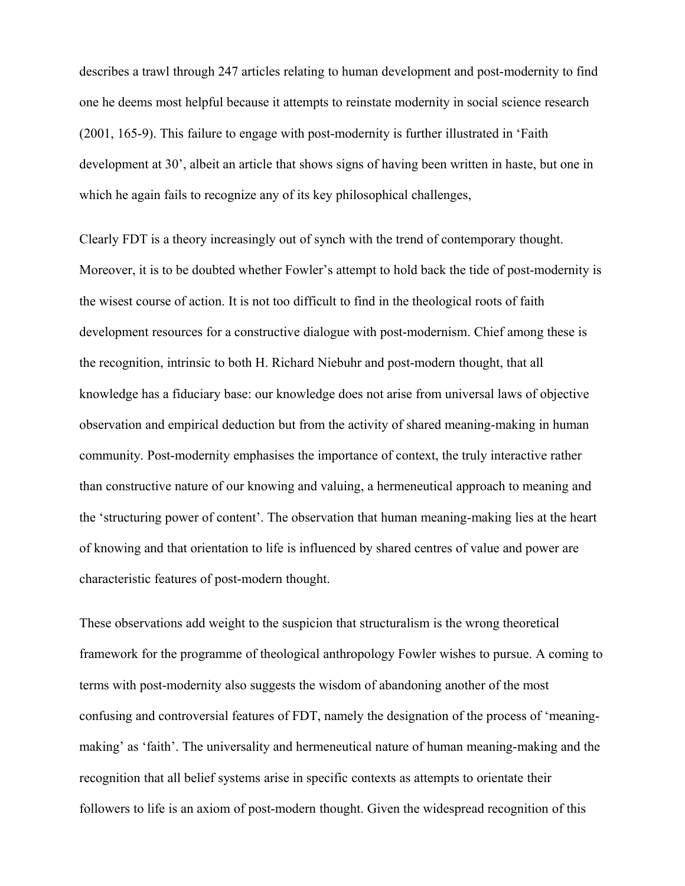describes a trawl through 247 articles relating to human development and post-modernity to find one he deems most helpful because it attempts to reinstate modernity in social science research (2001, 165-9). This failure to engage with post-modernity is further illustrated in 'Faith development at 30', albeit an article that shows signs of having been written in haste, but one in which he again fails to recognize any of its key philosophical challenges,

Clearly FDT is a theory increasingly out of synch with the trend of contemporary thought. Moreover, it is to be doubted whether Fowler's attempt to hold back the tide of post-modernity is the wisest course of action. It is not too difficult to find in the theological roots of faith development resources for a constructive dialogue with post-modernism. Chief among these is the recognition, intrinsic to both H. Richard Niebuhr and post-modern thought, that all knowledge has a fiduciary base: our knowledge does not arise from universal laws of objective observation and empirical deduction but from the activity of shared meaning-making in human community. Post-modernity emphasises the importance of context, the truly interactive rather than constructive nature of our knowing and valuing, a hermeneutical approach to meaning and the 'structuring power of content'. The observation that human meaning-making lies at the heart of knowing and that orientation to life is influenced by shared centres of value and power are characteristic features of post-modern thought.

These observations add weight to the suspicion that structuralism is the wrong theoretical framework for the programme of theological anthropology Fowler wishes to pursue. A coming to terms with post-modernity also suggests the wisdom of abandoning another of the most confusing and controversial features of FDT, namely the designation of the process of 'meaningmaking' as 'faith'. The universality and hermeneutical nature of human meaning-making and the recognition that all belief systems arise in specific contexts as attempts to orientate their followers to life is an axiom of post-modern thought. Given the widespread recognition of this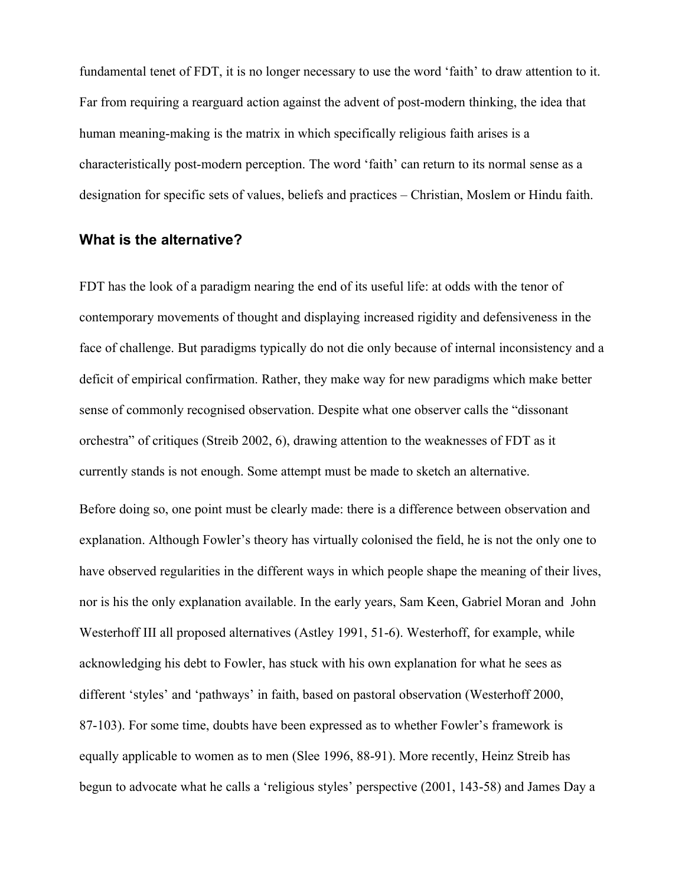fundamental tenet of FDT, it is no longer necessary to use the word 'faith' to draw attention to it. Far from requiring a rearguard action against the advent of post-modern thinking, the idea that human meaning-making is the matrix in which specifically religious faith arises is a characteristically post-modern perception. The word 'faith' can return to its normal sense as a designation for specific sets of values, beliefs and practices – Christian, Moslem or Hindu faith.

## **What is the alternative?**

FDT has the look of a paradigm nearing the end of its useful life: at odds with the tenor of contemporary movements of thought and displaying increased rigidity and defensiveness in the face of challenge. But paradigms typically do not die only because of internal inconsistency and a deficit of empirical confirmation. Rather, they make way for new paradigms which make better sense of commonly recognised observation. Despite what one observer calls the "dissonant orchestra" of critiques (Streib 2002, 6), drawing attention to the weaknesses of FDT as it currently stands is not enough. Some attempt must be made to sketch an alternative.

Before doing so, one point must be clearly made: there is a difference between observation and explanation. Although Fowler's theory has virtually colonised the field, he is not the only one to have observed regularities in the different ways in which people shape the meaning of their lives, nor is his the only explanation available. In the early years, Sam Keen, Gabriel Moran and John Westerhoff III all proposed alternatives (Astley 1991, 51-6). Westerhoff, for example, while acknowledging his debt to Fowler, has stuck with his own explanation for what he sees as different 'styles' and 'pathways' in faith, based on pastoral observation (Westerhoff 2000, 87-103). For some time, doubts have been expressed as to whether Fowler's framework is equally applicable to women as to men (Slee 1996, 88-91). More recently, Heinz Streib has begun to advocate what he calls a 'religious styles' perspective (2001, 143-58) and James Day a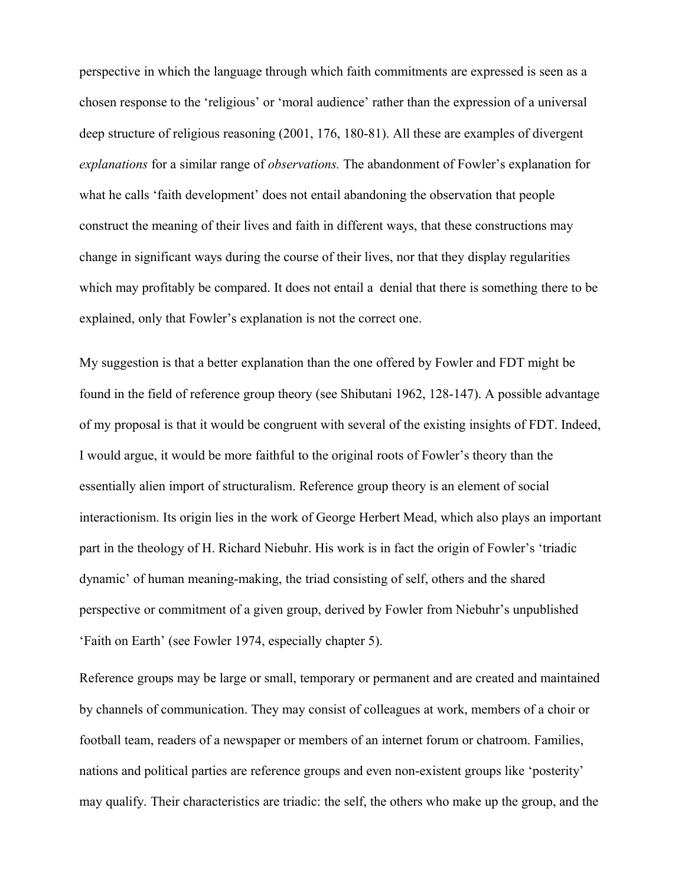perspective in which the language through which faith commitments are expressed is seen as a chosen response to the 'religious' or 'moral audience' rather than the expression of a universal deep structure of religious reasoning (2001, 176, 180-81). All these are examples of divergent *explanations* for a similar range of *observations.* The abandonment of Fowler's explanation for what he calls 'faith development' does not entail abandoning the observation that people construct the meaning of their lives and faith in different ways, that these constructions may change in significant ways during the course of their lives, nor that they display regularities which may profitably be compared. It does not entail a denial that there is something there to be explained, only that Fowler's explanation is not the correct one.

My suggestion is that a better explanation than the one offered by Fowler and FDT might be found in the field of reference group theory (see Shibutani 1962, 128-147). A possible advantage of my proposal is that it would be congruent with several of the existing insights of FDT. Indeed, I would argue, it would be more faithful to the original roots of Fowler's theory than the essentially alien import of structuralism. Reference group theory is an element of social interactionism. Its origin lies in the work of George Herbert Mead, which also plays an important part in the theology of H. Richard Niebuhr. His work is in fact the origin of Fowler's 'triadic dynamic' of human meaning-making, the triad consisting of self, others and the shared perspective or commitment of a given group, derived by Fowler from Niebuhr's unpublished 'Faith on Earth' (see Fowler 1974, especially chapter 5).

Reference groups may be large or small, temporary or permanent and are created and maintained by channels of communication. They may consist of colleagues at work, members of a choir or football team, readers of a newspaper or members of an internet forum or chatroom. Families, nations and political parties are reference groups and even non-existent groups like 'posterity' may qualify. Their characteristics are triadic: the self, the others who make up the group, and the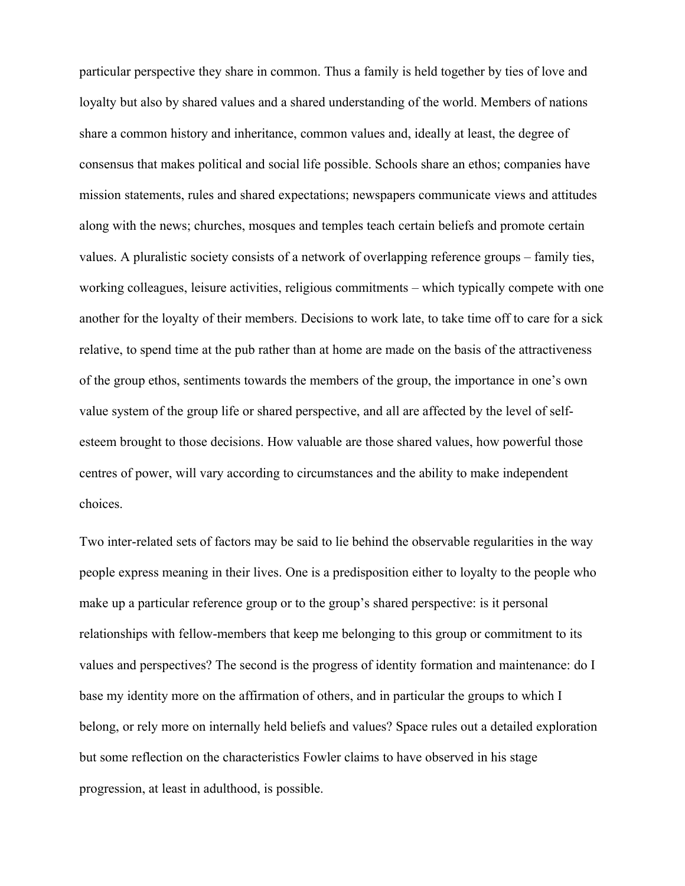particular perspective they share in common. Thus a family is held together by ties of love and loyalty but also by shared values and a shared understanding of the world. Members of nations share a common history and inheritance, common values and, ideally at least, the degree of consensus that makes political and social life possible. Schools share an ethos; companies have mission statements, rules and shared expectations; newspapers communicate views and attitudes along with the news; churches, mosques and temples teach certain beliefs and promote certain values. A pluralistic society consists of a network of overlapping reference groups – family ties, working colleagues, leisure activities, religious commitments – which typically compete with one another for the loyalty of their members. Decisions to work late, to take time off to care for a sick relative, to spend time at the pub rather than at home are made on the basis of the attractiveness of the group ethos, sentiments towards the members of the group, the importance in one's own value system of the group life or shared perspective, and all are affected by the level of selfesteem brought to those decisions. How valuable are those shared values, how powerful those centres of power, will vary according to circumstances and the ability to make independent choices.

Two inter-related sets of factors may be said to lie behind the observable regularities in the way people express meaning in their lives. One is a predisposition either to loyalty to the people who make up a particular reference group or to the group's shared perspective: is it personal relationships with fellow-members that keep me belonging to this group or commitment to its values and perspectives? The second is the progress of identity formation and maintenance: do I base my identity more on the affirmation of others, and in particular the groups to which I belong, or rely more on internally held beliefs and values? Space rules out a detailed exploration but some reflection on the characteristics Fowler claims to have observed in his stage progression, at least in adulthood, is possible.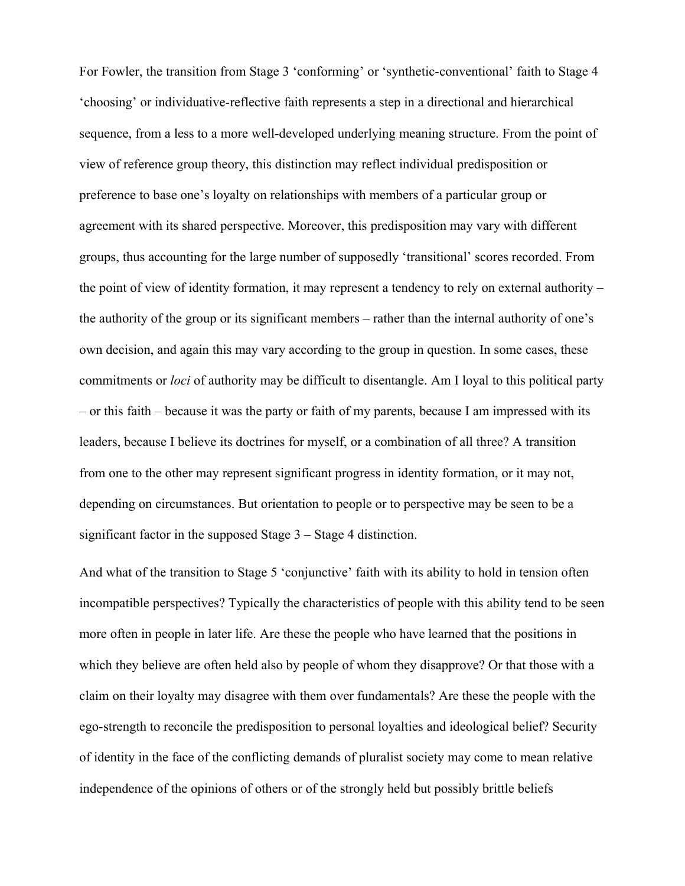For Fowler, the transition from Stage 3 'conforming' or 'synthetic-conventional' faith to Stage 4 'choosing' or individuative-reflective faith represents a step in a directional and hierarchical sequence, from a less to a more well-developed underlying meaning structure. From the point of view of reference group theory, this distinction may reflect individual predisposition or preference to base one's loyalty on relationships with members of a particular group or agreement with its shared perspective. Moreover, this predisposition may vary with different groups, thus accounting for the large number of supposedly 'transitional' scores recorded. From the point of view of identity formation, it may represent a tendency to rely on external authority – the authority of the group or its significant members – rather than the internal authority of one's own decision, and again this may vary according to the group in question. In some cases, these commitments or *loci* of authority may be difficult to disentangle. Am I loyal to this political party – or this faith – because it was the party or faith of my parents, because I am impressed with its leaders, because I believe its doctrines for myself, or a combination of all three? A transition from one to the other may represent significant progress in identity formation, or it may not, depending on circumstances. But orientation to people or to perspective may be seen to be a significant factor in the supposed Stage 3 – Stage 4 distinction.

And what of the transition to Stage 5 'conjunctive' faith with its ability to hold in tension often incompatible perspectives? Typically the characteristics of people with this ability tend to be seen more often in people in later life. Are these the people who have learned that the positions in which they believe are often held also by people of whom they disapprove? Or that those with a claim on their loyalty may disagree with them over fundamentals? Are these the people with the ego-strength to reconcile the predisposition to personal loyalties and ideological belief? Security of identity in the face of the conflicting demands of pluralist society may come to mean relative independence of the opinions of others or of the strongly held but possibly brittle beliefs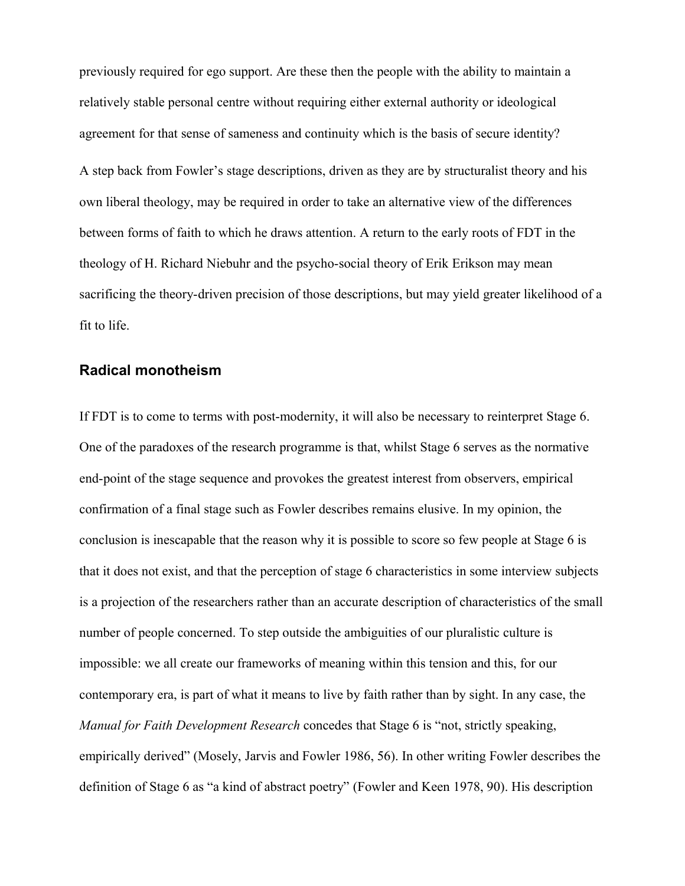previously required for ego support. Are these then the people with the ability to maintain a relatively stable personal centre without requiring either external authority or ideological agreement for that sense of sameness and continuity which is the basis of secure identity? A step back from Fowler's stage descriptions, driven as they are by structuralist theory and his own liberal theology, may be required in order to take an alternative view of the differences between forms of faith to which he draws attention. A return to the early roots of FDT in the theology of H. Richard Niebuhr and the psycho-social theory of Erik Erikson may mean sacrificing the theory-driven precision of those descriptions, but may yield greater likelihood of a fit to life.

### **Radical monotheism**

If FDT is to come to terms with post-modernity, it will also be necessary to reinterpret Stage 6. One of the paradoxes of the research programme is that, whilst Stage 6 serves as the normative end-point of the stage sequence and provokes the greatest interest from observers, empirical confirmation of a final stage such as Fowler describes remains elusive. In my opinion, the conclusion is inescapable that the reason why it is possible to score so few people at Stage 6 is that it does not exist, and that the perception of stage 6 characteristics in some interview subjects is a projection of the researchers rather than an accurate description of characteristics of the small number of people concerned. To step outside the ambiguities of our pluralistic culture is impossible: we all create our frameworks of meaning within this tension and this, for our contemporary era, is part of what it means to live by faith rather than by sight. In any case, the *Manual for Faith Development Research* concedes that Stage 6 is "not, strictly speaking, empirically derived" (Mosely, Jarvis and Fowler 1986, 56). In other writing Fowler describes the definition of Stage 6 as "a kind of abstract poetry" (Fowler and Keen 1978, 90). His description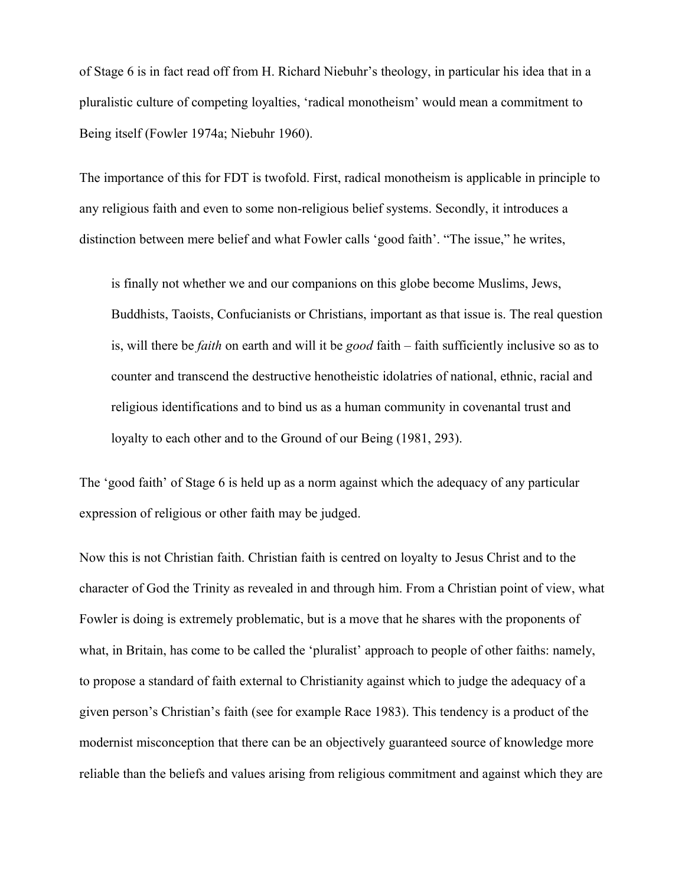of Stage 6 is in fact read off from H. Richard Niebuhr's theology, in particular his idea that in a pluralistic culture of competing loyalties, 'radical monotheism' would mean a commitment to Being itself (Fowler 1974a; Niebuhr 1960).

The importance of this for FDT is twofold. First, radical monotheism is applicable in principle to any religious faith and even to some non-religious belief systems. Secondly, it introduces a distinction between mere belief and what Fowler calls 'good faith'. "The issue," he writes,

is finally not whether we and our companions on this globe become Muslims, Jews, Buddhists, Taoists, Confucianists or Christians, important as that issue is. The real question is, will there be *faith* on earth and will it be *good* faith – faith sufficiently inclusive so as to counter and transcend the destructive henotheistic idolatries of national, ethnic, racial and religious identifications and to bind us as a human community in covenantal trust and loyalty to each other and to the Ground of our Being (1981, 293).

The 'good faith' of Stage 6 is held up as a norm against which the adequacy of any particular expression of religious or other faith may be judged.

Now this is not Christian faith. Christian faith is centred on loyalty to Jesus Christ and to the character of God the Trinity as revealed in and through him. From a Christian point of view, what Fowler is doing is extremely problematic, but is a move that he shares with the proponents of what, in Britain, has come to be called the 'pluralist' approach to people of other faiths: namely, to propose a standard of faith external to Christianity against which to judge the adequacy of a given person's Christian's faith (see for example Race 1983). This tendency is a product of the modernist misconception that there can be an objectively guaranteed source of knowledge more reliable than the beliefs and values arising from religious commitment and against which they are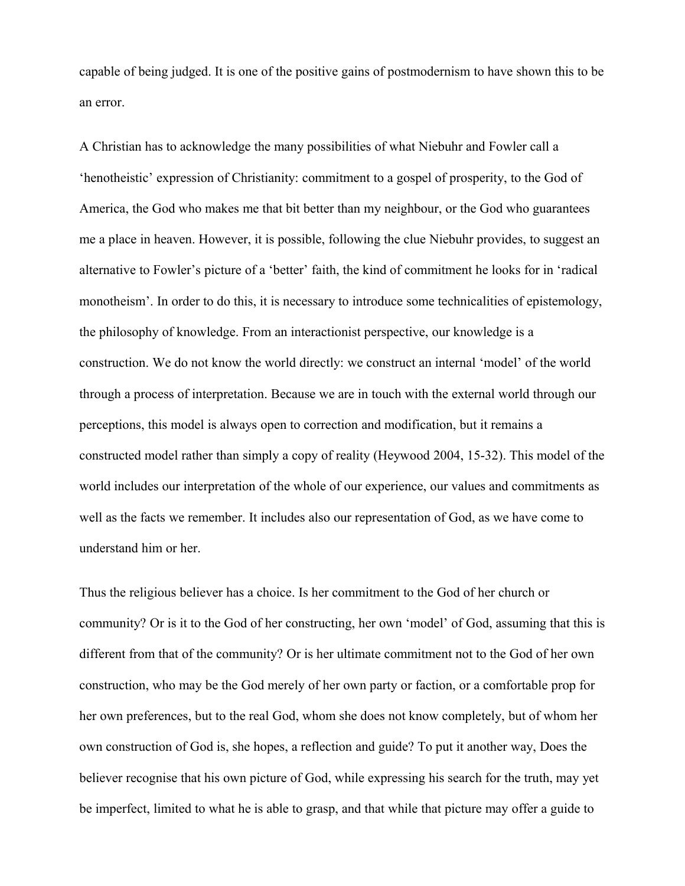capable of being judged. It is one of the positive gains of postmodernism to have shown this to be an error.

A Christian has to acknowledge the many possibilities of what Niebuhr and Fowler call a 'henotheistic' expression of Christianity: commitment to a gospel of prosperity, to the God of America, the God who makes me that bit better than my neighbour, or the God who guarantees me a place in heaven. However, it is possible, following the clue Niebuhr provides, to suggest an alternative to Fowler's picture of a 'better' faith, the kind of commitment he looks for in 'radical monotheism'. In order to do this, it is necessary to introduce some technicalities of epistemology, the philosophy of knowledge. From an interactionist perspective, our knowledge is a construction. We do not know the world directly: we construct an internal 'model' of the world through a process of interpretation. Because we are in touch with the external world through our perceptions, this model is always open to correction and modification, but it remains a constructed model rather than simply a copy of reality (Heywood 2004, 15-32). This model of the world includes our interpretation of the whole of our experience, our values and commitments as well as the facts we remember. It includes also our representation of God, as we have come to understand him or her.

Thus the religious believer has a choice. Is her commitment to the God of her church or community? Or is it to the God of her constructing, her own 'model' of God, assuming that this is different from that of the community? Or is her ultimate commitment not to the God of her own construction, who may be the God merely of her own party or faction, or a comfortable prop for her own preferences, but to the real God, whom she does not know completely, but of whom her own construction of God is, she hopes, a reflection and guide? To put it another way, Does the believer recognise that his own picture of God, while expressing his search for the truth, may yet be imperfect, limited to what he is able to grasp, and that while that picture may offer a guide to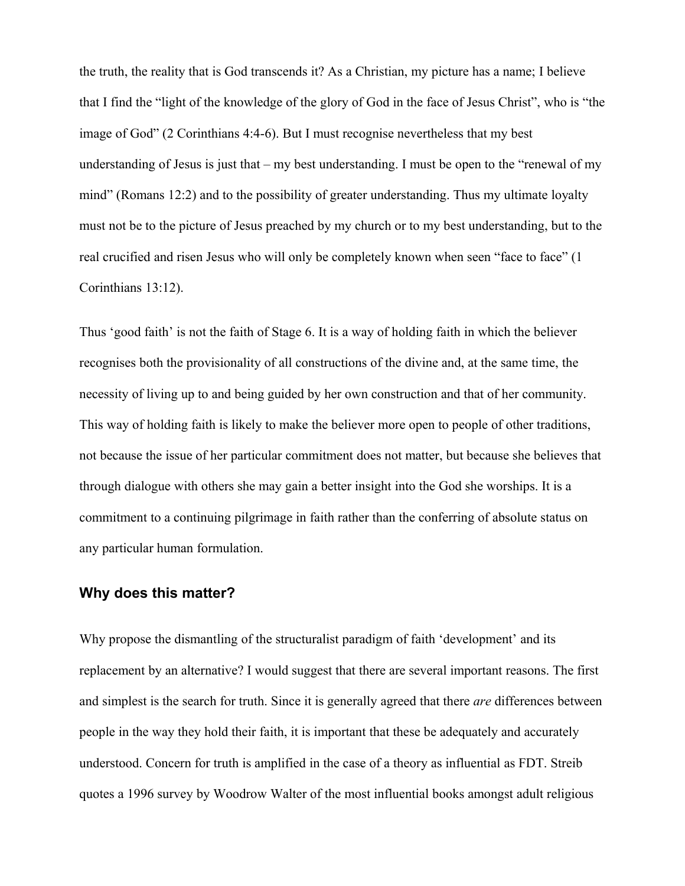the truth, the reality that is God transcends it? As a Christian, my picture has a name; I believe that I find the "light of the knowledge of the glory of God in the face of Jesus Christ", who is "the image of God" (2 Corinthians 4:4-6). But I must recognise nevertheless that my best understanding of Jesus is just that – my best understanding. I must be open to the "renewal of my mind" (Romans 12:2) and to the possibility of greater understanding. Thus my ultimate loyalty must not be to the picture of Jesus preached by my church or to my best understanding, but to the real crucified and risen Jesus who will only be completely known when seen "face to face" (1 Corinthians 13:12).

Thus 'good faith' is not the faith of Stage 6. It is a way of holding faith in which the believer recognises both the provisionality of all constructions of the divine and, at the same time, the necessity of living up to and being guided by her own construction and that of her community. This way of holding faith is likely to make the believer more open to people of other traditions, not because the issue of her particular commitment does not matter, but because she believes that through dialogue with others she may gain a better insight into the God she worships. It is a commitment to a continuing pilgrimage in faith rather than the conferring of absolute status on any particular human formulation.

### **Why does this matter?**

Why propose the dismantling of the structuralist paradigm of faith 'development' and its replacement by an alternative? I would suggest that there are several important reasons. The first and simplest is the search for truth. Since it is generally agreed that there *are* differences between people in the way they hold their faith, it is important that these be adequately and accurately understood. Concern for truth is amplified in the case of a theory as influential as FDT. Streib quotes a 1996 survey by Woodrow Walter of the most influential books amongst adult religious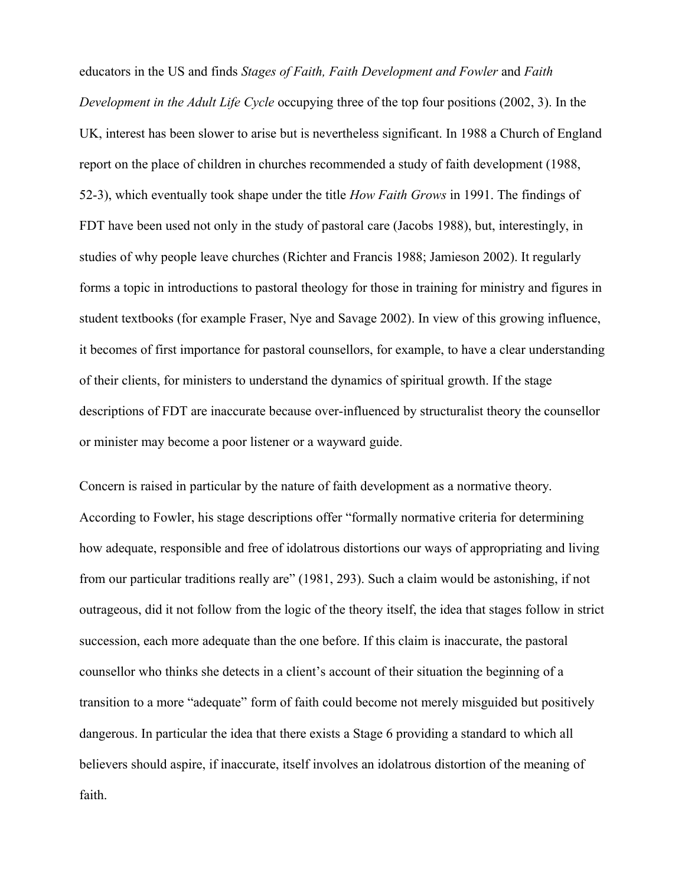educators in the US and finds *Stages of Faith, Faith Development and Fowler* and *Faith Development in the Adult Life Cycle* occupying three of the top four positions (2002, 3). In the UK, interest has been slower to arise but is nevertheless significant. In 1988 a Church of England report on the place of children in churches recommended a study of faith development (1988, 52-3), which eventually took shape under the title *How Faith Grows* in 1991. The findings of FDT have been used not only in the study of pastoral care (Jacobs 1988), but, interestingly, in studies of why people leave churches (Richter and Francis 1988; Jamieson 2002). It regularly forms a topic in introductions to pastoral theology for those in training for ministry and figures in student textbooks (for example Fraser, Nye and Savage 2002). In view of this growing influence, it becomes of first importance for pastoral counsellors, for example, to have a clear understanding of their clients, for ministers to understand the dynamics of spiritual growth. If the stage descriptions of FDT are inaccurate because over-influenced by structuralist theory the counsellor or minister may become a poor listener or a wayward guide.

Concern is raised in particular by the nature of faith development as a normative theory. According to Fowler, his stage descriptions offer "formally normative criteria for determining how adequate, responsible and free of idolatrous distortions our ways of appropriating and living from our particular traditions really are" (1981, 293). Such a claim would be astonishing, if not outrageous, did it not follow from the logic of the theory itself, the idea that stages follow in strict succession, each more adequate than the one before. If this claim is inaccurate, the pastoral counsellor who thinks she detects in a client's account of their situation the beginning of a transition to a more "adequate" form of faith could become not merely misguided but positively dangerous. In particular the idea that there exists a Stage 6 providing a standard to which all believers should aspire, if inaccurate, itself involves an idolatrous distortion of the meaning of faith.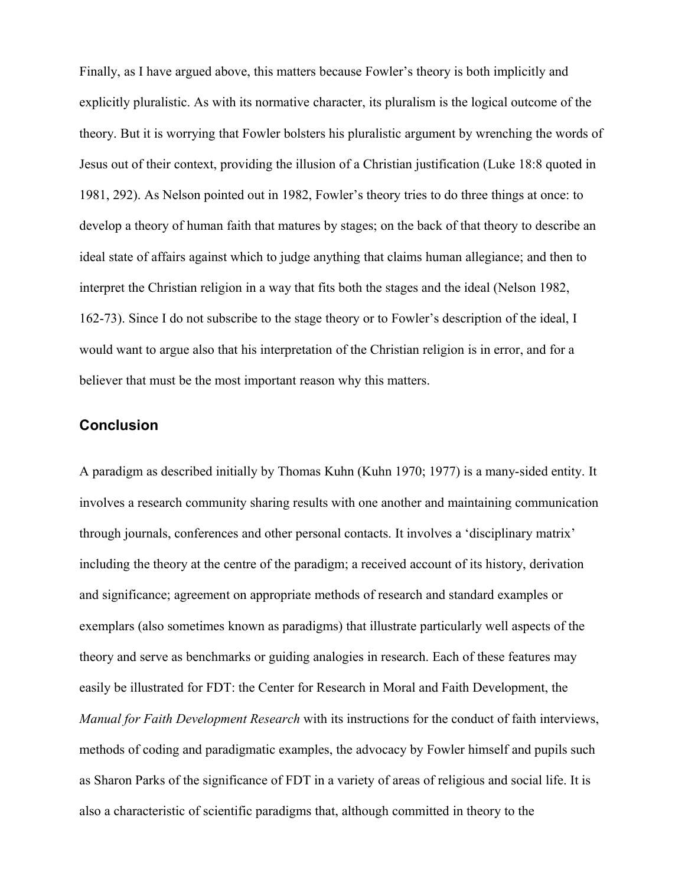Finally, as I have argued above, this matters because Fowler's theory is both implicitly and explicitly pluralistic. As with its normative character, its pluralism is the logical outcome of the theory. But it is worrying that Fowler bolsters his pluralistic argument by wrenching the words of Jesus out of their context, providing the illusion of a Christian justification (Luke 18:8 quoted in 1981, 292). As Nelson pointed out in 1982, Fowler's theory tries to do three things at once: to develop a theory of human faith that matures by stages; on the back of that theory to describe an ideal state of affairs against which to judge anything that claims human allegiance; and then to interpret the Christian religion in a way that fits both the stages and the ideal (Nelson 1982, 162-73). Since I do not subscribe to the stage theory or to Fowler's description of the ideal, I would want to argue also that his interpretation of the Christian religion is in error, and for a believer that must be the most important reason why this matters.

## **Conclusion**

A paradigm as described initially by Thomas Kuhn (Kuhn 1970; 1977) is a many-sided entity. It involves a research community sharing results with one another and maintaining communication through journals, conferences and other personal contacts. It involves a 'disciplinary matrix' including the theory at the centre of the paradigm; a received account of its history, derivation and significance; agreement on appropriate methods of research and standard examples or exemplars (also sometimes known as paradigms) that illustrate particularly well aspects of the theory and serve as benchmarks or guiding analogies in research. Each of these features may easily be illustrated for FDT: the Center for Research in Moral and Faith Development, the *Manual for Faith Development Research* with its instructions for the conduct of faith interviews, methods of coding and paradigmatic examples, the advocacy by Fowler himself and pupils such as Sharon Parks of the significance of FDT in a variety of areas of religious and social life. It is also a characteristic of scientific paradigms that, although committed in theory to the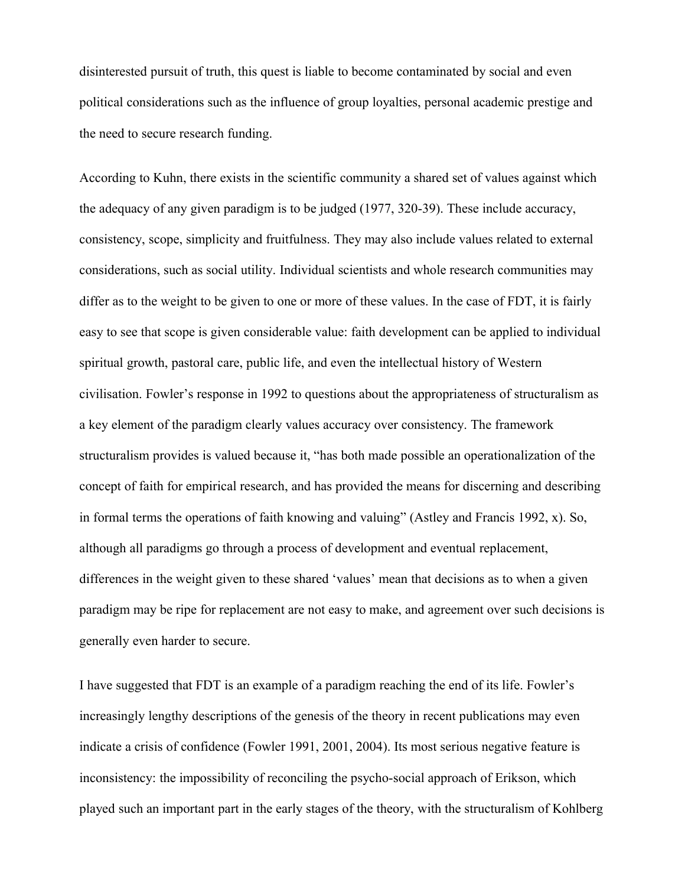disinterested pursuit of truth, this quest is liable to become contaminated by social and even political considerations such as the influence of group loyalties, personal academic prestige and the need to secure research funding.

According to Kuhn, there exists in the scientific community a shared set of values against which the adequacy of any given paradigm is to be judged (1977, 320-39). These include accuracy, consistency, scope, simplicity and fruitfulness. They may also include values related to external considerations, such as social utility. Individual scientists and whole research communities may differ as to the weight to be given to one or more of these values. In the case of FDT, it is fairly easy to see that scope is given considerable value: faith development can be applied to individual spiritual growth, pastoral care, public life, and even the intellectual history of Western civilisation. Fowler's response in 1992 to questions about the appropriateness of structuralism as a key element of the paradigm clearly values accuracy over consistency. The framework structuralism provides is valued because it, "has both made possible an operationalization of the concept of faith for empirical research, and has provided the means for discerning and describing in formal terms the operations of faith knowing and valuing" (Astley and Francis 1992, x). So, although all paradigms go through a process of development and eventual replacement, differences in the weight given to these shared 'values' mean that decisions as to when a given paradigm may be ripe for replacement are not easy to make, and agreement over such decisions is generally even harder to secure.

I have suggested that FDT is an example of a paradigm reaching the end of its life. Fowler's increasingly lengthy descriptions of the genesis of the theory in recent publications may even indicate a crisis of confidence (Fowler 1991, 2001, 2004). Its most serious negative feature is inconsistency: the impossibility of reconciling the psycho-social approach of Erikson, which played such an important part in the early stages of the theory, with the structuralism of Kohlberg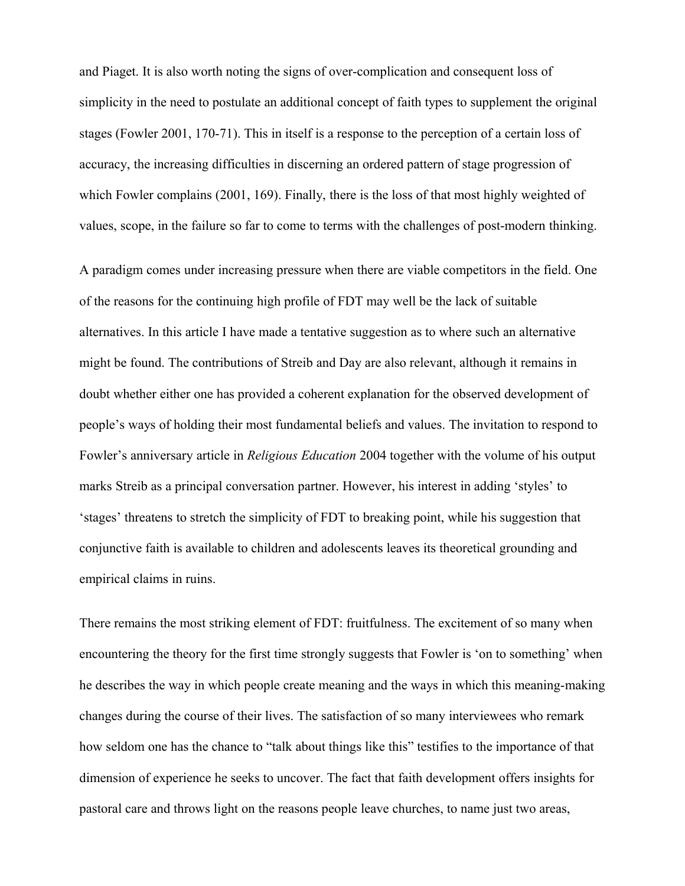and Piaget. It is also worth noting the signs of over-complication and consequent loss of simplicity in the need to postulate an additional concept of faith types to supplement the original stages (Fowler 2001, 170-71). This in itself is a response to the perception of a certain loss of accuracy, the increasing difficulties in discerning an ordered pattern of stage progression of which Fowler complains (2001, 169). Finally, there is the loss of that most highly weighted of values, scope, in the failure so far to come to terms with the challenges of post-modern thinking.

A paradigm comes under increasing pressure when there are viable competitors in the field. One of the reasons for the continuing high profile of FDT may well be the lack of suitable alternatives. In this article I have made a tentative suggestion as to where such an alternative might be found. The contributions of Streib and Day are also relevant, although it remains in doubt whether either one has provided a coherent explanation for the observed development of people's ways of holding their most fundamental beliefs and values. The invitation to respond to Fowler's anniversary article in *Religious Education* 2004 together with the volume of his output marks Streib as a principal conversation partner. However, his interest in adding 'styles' to 'stages' threatens to stretch the simplicity of FDT to breaking point, while his suggestion that conjunctive faith is available to children and adolescents leaves its theoretical grounding and empirical claims in ruins.

There remains the most striking element of FDT: fruitfulness. The excitement of so many when encountering the theory for the first time strongly suggests that Fowler is 'on to something' when he describes the way in which people create meaning and the ways in which this meaning-making changes during the course of their lives. The satisfaction of so many interviewees who remark how seldom one has the chance to "talk about things like this" testifies to the importance of that dimension of experience he seeks to uncover. The fact that faith development offers insights for pastoral care and throws light on the reasons people leave churches, to name just two areas,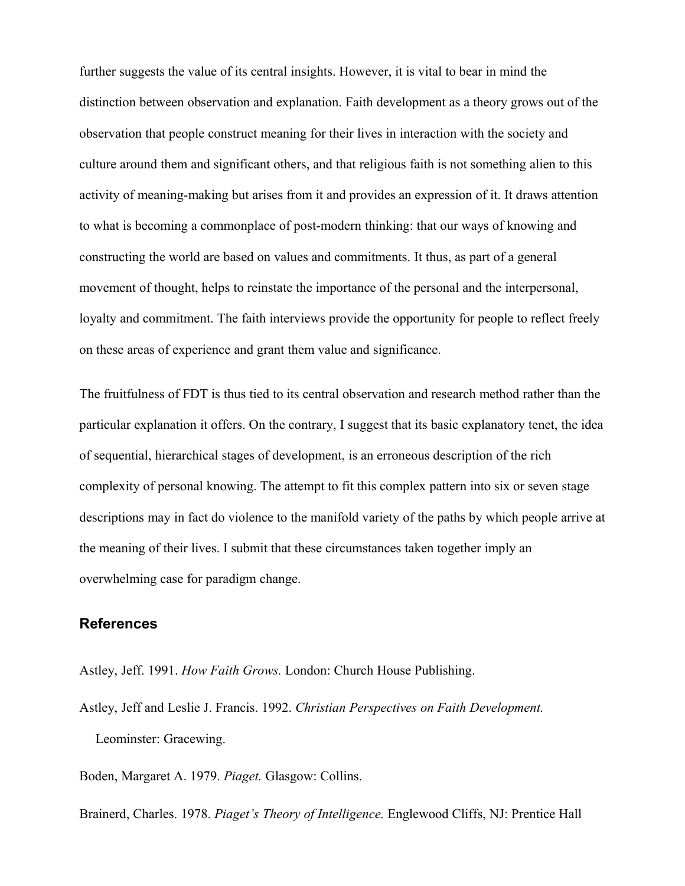further suggests the value of its central insights. However, it is vital to bear in mind the distinction between observation and explanation. Faith development as a theory grows out of the observation that people construct meaning for their lives in interaction with the society and culture around them and significant others, and that religious faith is not something alien to this activity of meaning-making but arises from it and provides an expression of it. It draws attention to what is becoming a commonplace of post-modern thinking: that our ways of knowing and constructing the world are based on values and commitments. It thus, as part of a general movement of thought, helps to reinstate the importance of the personal and the interpersonal, loyalty and commitment. The faith interviews provide the opportunity for people to reflect freely on these areas of experience and grant them value and significance.

The fruitfulness of FDT is thus tied to its central observation and research method rather than the particular explanation it offers. On the contrary, I suggest that its basic explanatory tenet, the idea of sequential, hierarchical stages of development, is an erroneous description of the rich complexity of personal knowing. The attempt to fit this complex pattern into six or seven stage descriptions may in fact do violence to the manifold variety of the paths by which people arrive at the meaning of their lives. I submit that these circumstances taken together imply an overwhelming case for paradigm change.

#### **References**

Astley, Jeff. 1991. *How Faith Grows.* London: Church House Publishing.

Astley, Jeff and Leslie J. Francis. 1992. *Christian Perspectives on Faith Development.* Leominster: Gracewing.

Boden, Margaret A. 1979. *Piaget.* Glasgow: Collins.

Brainerd, Charles. 1978. *Piaget's Theory of Intelligence.* Englewood Cliffs, NJ: Prentice Hall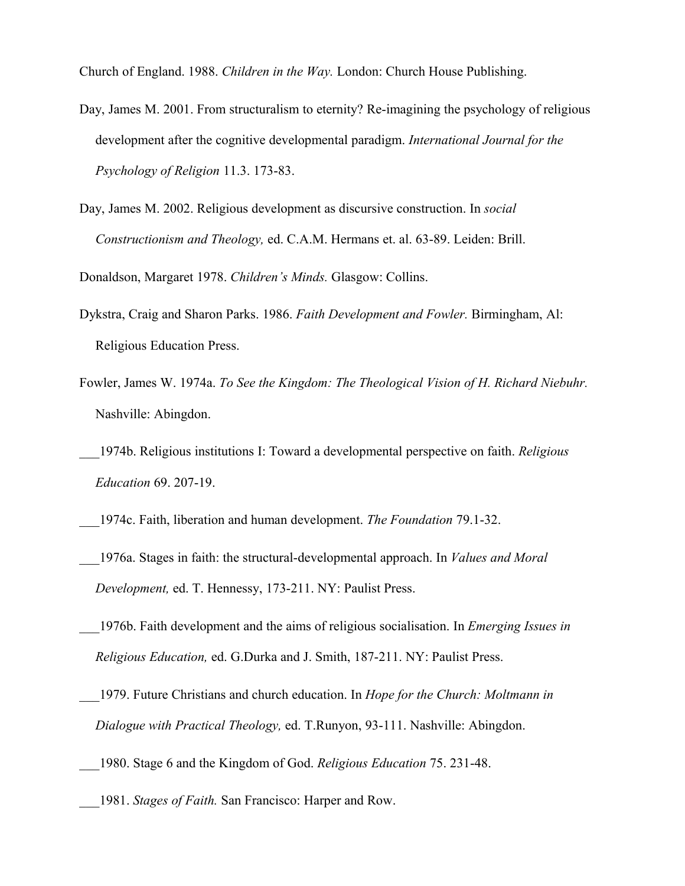Church of England. 1988. *Children in the Way.* London: Church House Publishing.

- Day, James M. 2001. From structuralism to eternity? Re-imagining the psychology of religious development after the cognitive developmental paradigm. *International Journal for the Psychology of Religion* 11.3. 173-83.
- Day, James M. 2002. Religious development as discursive construction. In *social Constructionism and Theology,* ed. C.A.M. Hermans et. al. 63-89. Leiden: Brill.

Donaldson, Margaret 1978. *Children's Minds.* Glasgow: Collins.

- Dykstra, Craig and Sharon Parks. 1986. *Faith Development and Fowler.* Birmingham, Al: Religious Education Press.
- Fowler, James W. 1974a. *To See the Kingdom: The Theological Vision of H. Richard Niebuhr.* Nashville: Abingdon.
- \_\_\_1974b. Religious institutions I: Toward a developmental perspective on faith. *Religious Education* 69. 207-19.
- \_\_\_1974c. Faith, liberation and human development. *The Foundation* 79.1-32.
- \_\_\_1976a. Stages in faith: the structural-developmental approach. In *Values and Moral Development,* ed. T. Hennessy, 173-211. NY: Paulist Press.
- \_\_\_1976b. Faith development and the aims of religious socialisation. In *Emerging Issues in Religious Education,* ed. G.Durka and J. Smith, 187-211. NY: Paulist Press.
- \_\_\_1979. Future Christians and church education. In *Hope for the Church: Moltmann in Dialogue with Practical Theology,* ed. T.Runyon, 93-111. Nashville: Abingdon.
- \_\_\_1980. Stage 6 and the Kingdom of God. *Religious Education* 75. 231-48.
- \_\_\_1981. *Stages of Faith.* San Francisco: Harper and Row.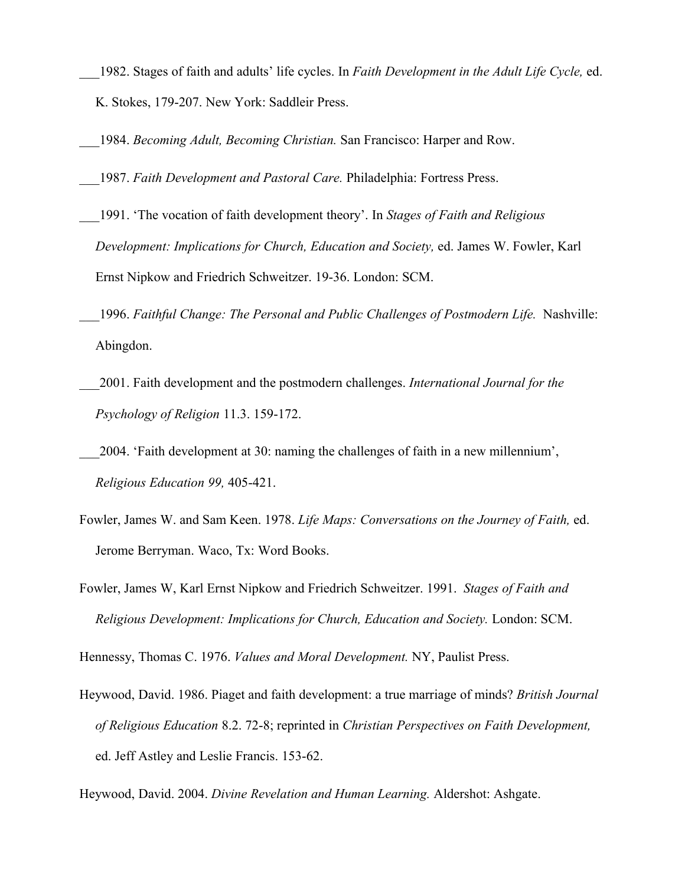- \_\_\_1982. Stages of faith and adults' life cycles. In *Faith Development in the Adult Life Cycle,* ed. K. Stokes, 179-207. New York: Saddleir Press.
- \_\_\_1984. *Becoming Adult, Becoming Christian.* San Francisco: Harper and Row.

\_\_\_1987. *Faith Development and Pastoral Care.* Philadelphia: Fortress Press.

- \_\_\_1991. 'The vocation of faith development theory'. In *Stages of Faith and Religious Development: Implications for Church, Education and Society,* ed. James W. Fowler, Karl Ernst Nipkow and Friedrich Schweitzer. 19-36. London: SCM.
- \_\_\_1996. *Faithful Change: The Personal and Public Challenges of Postmodern Life.* Nashville: Abingdon.
- \_\_\_2001. Faith development and the postmodern challenges. *International Journal for the Psychology of Religion* 11.3. 159-172.
- \_\_\_2004. 'Faith development at 30: naming the challenges of faith in a new millennium', *Religious Education 99,* 405-421.
- Fowler, James W. and Sam Keen. 1978. *Life Maps: Conversations on the Journey of Faith,* ed. Jerome Berryman. Waco, Tx: Word Books.
- Fowler, James W, Karl Ernst Nipkow and Friedrich Schweitzer. 1991. *Stages of Faith and Religious Development: Implications for Church, Education and Society.* London: SCM.

Hennessy, Thomas C. 1976. *Values and Moral Development.* NY, Paulist Press.

Heywood, David. 1986. Piaget and faith development: a true marriage of minds? *British Journal of Religious Education* 8.2. 72-8; reprinted in *Christian Perspectives on Faith Development,* ed. Jeff Astley and Leslie Francis. 153-62.

Heywood, David. 2004. *Divine Revelation and Human Learning.* Aldershot: Ashgate.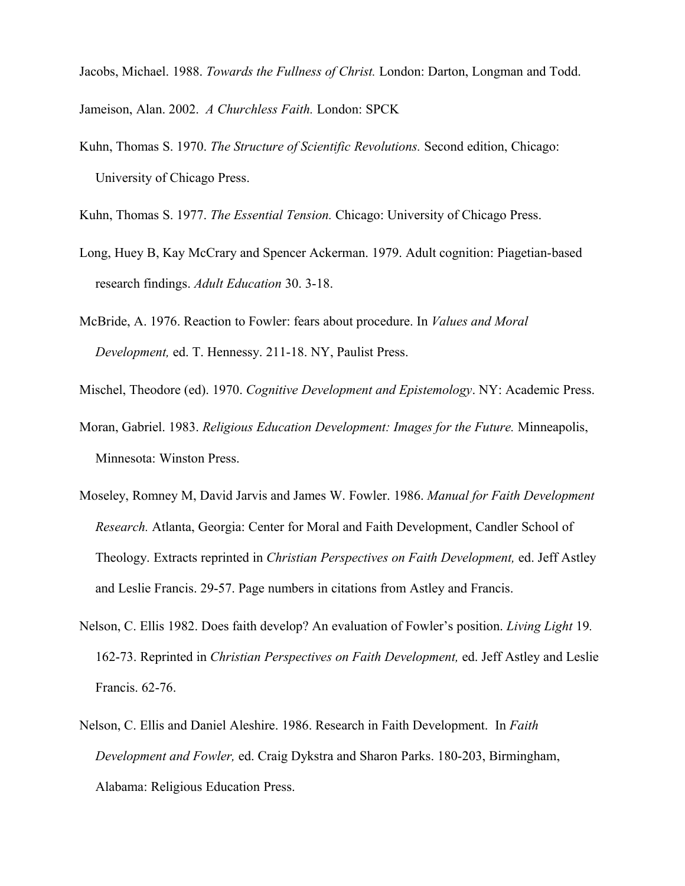Jacobs, Michael. 1988. *Towards the Fullness of Christ.* London: Darton, Longman and Todd. Jameison, Alan. 2002. *A Churchless Faith.* London: SPCK

Kuhn, Thomas S. 1970. *The Structure of Scientific Revolutions.* Second edition, Chicago: University of Chicago Press.

Kuhn, Thomas S. 1977. *The Essential Tension.* Chicago: University of Chicago Press.

- Long, Huey B, Kay McCrary and Spencer Ackerman. 1979. Adult cognition: Piagetian-based research findings. *Adult Education* 30. 3-18.
- McBride, A. 1976. Reaction to Fowler: fears about procedure. In *Values and Moral Development,* ed. T. Hennessy. 211-18. NY, Paulist Press.
- Mischel, Theodore (ed). 1970. *Cognitive Development and Epistemology*. NY: Academic Press.
- Moran, Gabriel. 1983. *Religious Education Development: Images for the Future.* Minneapolis, Minnesota: Winston Press.
- Moseley, Romney M, David Jarvis and James W. Fowler. 1986. *Manual for Faith Development Research.* Atlanta, Georgia: Center for Moral and Faith Development, Candler School of Theology. Extracts reprinted in *Christian Perspectives on Faith Development,* ed. Jeff Astley and Leslie Francis. 29-57. Page numbers in citations from Astley and Francis.
- Nelson, C. Ellis 1982. Does faith develop? An evaluation of Fowler's position. *Living Light* 19*.* 162-73. Reprinted in *Christian Perspectives on Faith Development,* ed. Jeff Astley and Leslie Francis. 62-76.
- Nelson, C. Ellis and Daniel Aleshire. 1986. Research in Faith Development. In *Faith Development and Fowler,* ed. Craig Dykstra and Sharon Parks. 180-203, Birmingham, Alabama: Religious Education Press.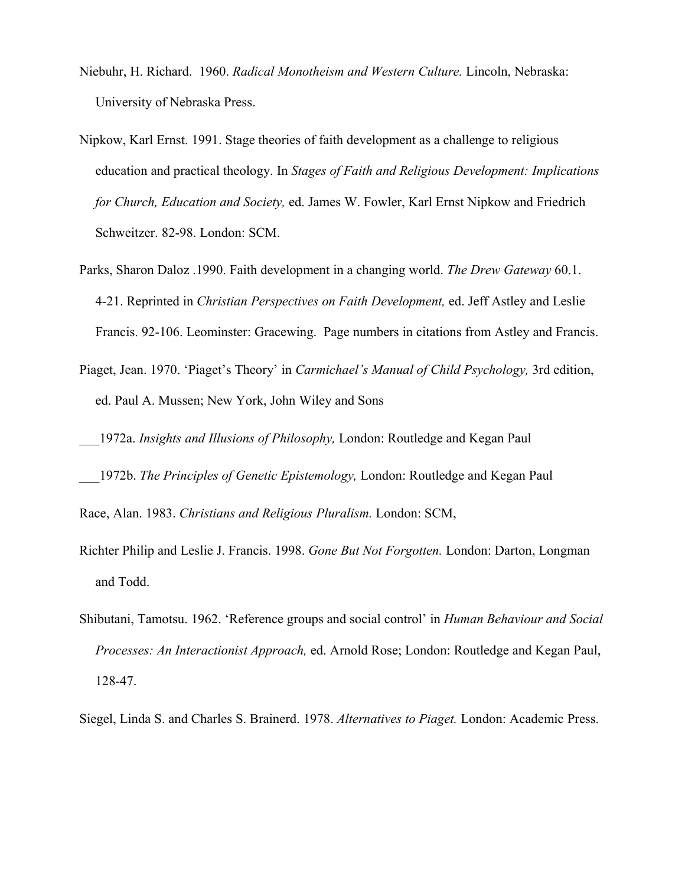- Niebuhr, H. Richard. 1960. *Radical Monotheism and Western Culture.* Lincoln, Nebraska: University of Nebraska Press.
- Nipkow, Karl Ernst. 1991. Stage theories of faith development as a challenge to religious education and practical theology. In *Stages of Faith and Religious Development: Implications for Church, Education and Society,* ed. James W. Fowler, Karl Ernst Nipkow and Friedrich Schweitzer. 82-98. London: SCM.
- Parks, Sharon Daloz .1990. Faith development in a changing world. *The Drew Gateway* 60.1. 4-21. Reprinted in *Christian Perspectives on Faith Development,* ed. Jeff Astley and Leslie Francis. 92-106. Leominster: Gracewing. Page numbers in citations from Astley and Francis.
- Piaget, Jean. 1970. 'Piaget's Theory' in *Carmichael's Manual of Child Psychology,* 3rd edition, ed. Paul A. Mussen; New York, John Wiley and Sons
	- \_\_\_1972a. *Insights and Illusions of Philosophy,* London: Routledge and Kegan Paul
- \_\_\_1972b. *The Principles of Genetic Epistemology,* London: Routledge and Kegan Paul
- Race, Alan. 1983. *Christians and Religious Pluralism.* London: SCM,
- Richter Philip and Leslie J. Francis. 1998. *Gone But Not Forgotten.* London: Darton, Longman and Todd.
- Shibutani, Tamotsu. 1962. 'Reference groups and social control' in *Human Behaviour and Social Processes: An Interactionist Approach,* ed. Arnold Rose; London: Routledge and Kegan Paul, 128-47.
- Siegel, Linda S. and Charles S. Brainerd. 1978. *Alternatives to Piaget.* London: Academic Press.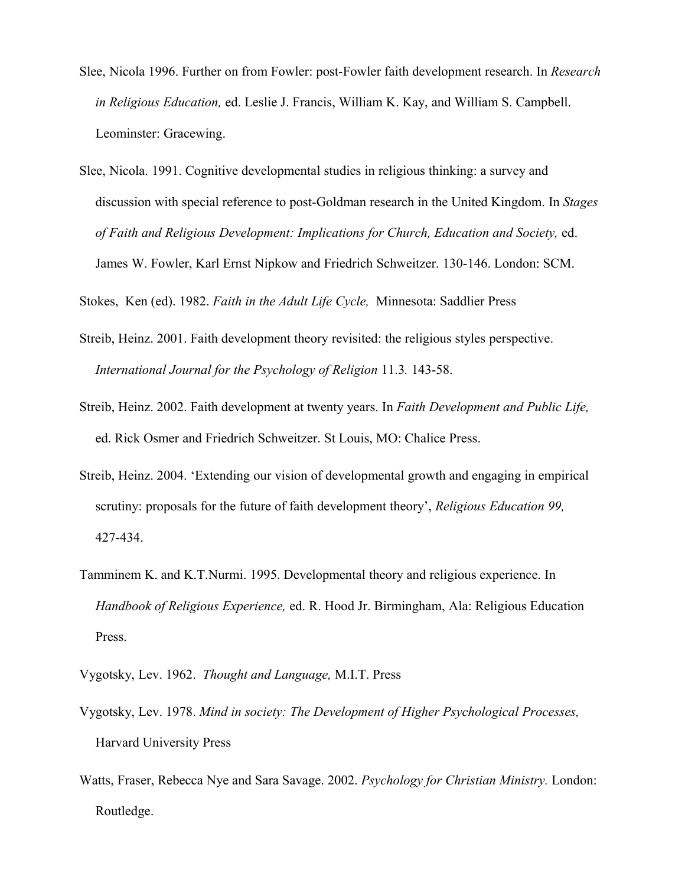- Slee, Nicola 1996. Further on from Fowler: post-Fowler faith development research. In *Research in Religious Education,* ed. Leslie J. Francis, William K. Kay, and William S. Campbell. Leominster: Gracewing.
- Slee, Nicola. 1991. Cognitive developmental studies in religious thinking: a survey and discussion with special reference to post-Goldman research in the United Kingdom. In *Stages of Faith and Religious Development: Implications for Church, Education and Society,* ed. James W. Fowler, Karl Ernst Nipkow and Friedrich Schweitzer. 130-146. London: SCM.

Stokes, Ken (ed). 1982. *Faith in the Adult Life Cycle,* Minnesota: Saddlier Press

- Streib, Heinz. 2001. Faith development theory revisited: the religious styles perspective. *International Journal for the Psychology of Religion* 11.3*.* 143-58.
- Streib, Heinz. 2002. Faith development at twenty years. In *Faith Development and Public Life,* ed. Rick Osmer and Friedrich Schweitzer. St Louis, MO: Chalice Press.
- Streib, Heinz. 2004. 'Extending our vision of developmental growth and engaging in empirical scrutiny: proposals for the future of faith development theory', *Religious Education 99,* 427-434.
- Tamminem K. and K.T.Nurmi. 1995. Developmental theory and religious experience. In *Handbook of Religious Experience,* ed. R. Hood Jr. Birmingham, Ala: Religious Education Press.
- Vygotsky, Lev. 1962. *Thought and Language,* M.I.T. Press
- Vygotsky, Lev. 1978. *Mind in society: The Development of Higher Psychological Processes,* Harvard University Press
- Watts, Fraser, Rebecca Nye and Sara Savage. 2002. *Psychology for Christian Ministry.* London: Routledge.